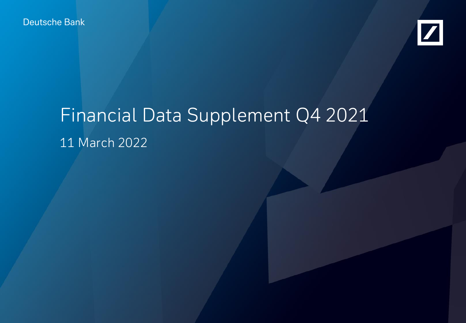Deutsche Bank



# Financial Data Supplement Q4 2021 11 March 2022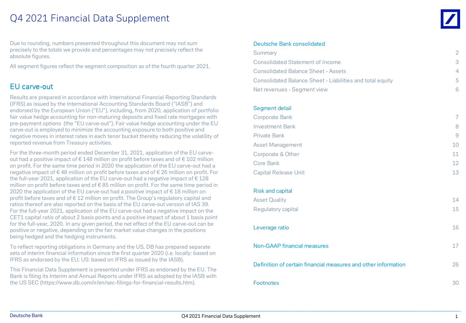## Q4 2021 Financial Data Supplement

Due to rounding, numbers presented throughout this document may not sum precisely to the totals we provide and percentages may not precisely reflect the absolute figures.

All segment figures reflect the segment composition as of the fourth quarter 2021.

#### EU carve-out

Results are prepared in accordance with International Financial Reporting Standards (IFRS) as issued by the International Accounting Standards Board ("IASB") and endorsed by the European Union ("EU"), including, from 2020, application of portfolio fair value hedge accounting for non-maturing deposits and fixed rate mortgages with pre-payment options (the "EU carve-out"). Fair value hedge accounting under the EU carve-out is employed to minimize the accounting exposure to both positive and negative moves in interest rates in each tenor bucket thereby reducing the volatility of reported revenue from Treasury activities.

For the three-month period ended December 31, 2021, application of the EU carveout had a positive impact of € 148 million on profit before taxes and of € 102 million on profit. For the same time period in 2020 the application of the EU carve-out had a negative impact of € 48 million on profit before taxes and of € 26 million on profit. For the full-year 2021, application of the EU carve-out had a negative impact of  $\epsilon$  128 million on profit before taxes and of  $\epsilon$  85 million on profit. For the same time period in 2020 the application of the EU carve-out had a positive impact of € 18 million on profit before taxes and of € 12 million on profit. The Group's regulatory capital and ratios thereof are also reported on the basis of the EU carve-out version of IAS 39. For the full-year 2021, application of the EU carve-out had a negative impact on the CET1 capital ratio of about 2 basis points and a positive impact of about 1 basis point for the full-year, 2020. In any given period, the net effect of the EU carve-out can be positive or negative, depending on the fair market value changes in the positions being hedged and the hedging instruments.

To reflect reporting obligations in Germany and the US, DB has prepared separate sets of interim financial information since the first quarter 2020 (i.e. locally: based on IFRS as endorsed by the EU; US: based on IFRS as issued by the IASB).

This Financial Data Supplement is presented under IFRS as endorsed by the EU. The Bank is filing its Interim and Annual Reports under IFRS as adopted by the IASB with the US SEC (<https://www.db.com/ir/en/sec-filings-for-financial-results.htm>).

#### Deutsche Bank consolidated

| Summary<br><b>Consolidated Statement of Income</b>               | $\overline{2}$<br>3 |
|------------------------------------------------------------------|---------------------|
| <b>Consolidated Balance Sheet - Assets</b>                       | 4                   |
| <b>Consolidated Balance Sheet - Liabilities and total equity</b> | 5                   |
| Net revenues - Segment view                                      | 6.                  |
|                                                                  |                     |
| Segment detail                                                   |                     |
| <b>Corporate Bank</b>                                            | 7                   |
| <b>Investment Bank</b>                                           | 8                   |
| <b>Private Bank</b>                                              | 9                   |
| <b>Asset Management</b>                                          | 10                  |
| Corporate & Other                                                | 11                  |
| Core Bank                                                        | 12                  |
| <b>Capital Release Unit</b>                                      | 13                  |
| <b>Risk and capital</b>                                          |                     |
| <b>Asset Quality</b>                                             | 14                  |
| Regulatory capital                                               | 15                  |
|                                                                  |                     |
| Leverage ratio                                                   | 16                  |
| <b>Non-GAAP financial measures</b>                               | 17                  |
| Definition of certain financial measures and other information   | 26                  |
| <b>Footnotes</b>                                                 | 30                  |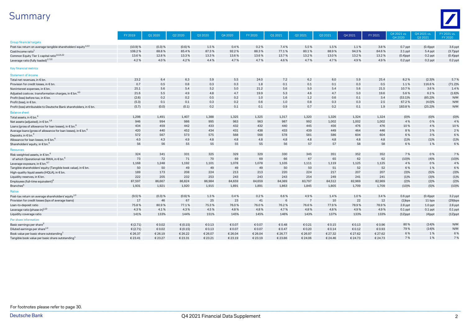# Summary



|                                                                           | FY 2019    | Q1 2020   | Q2 2020    | Q3 2020 | Q4 2020 | FY 2020 | Q1 2021 | Q2 2021        | Q3 2021 | 04 20 21 | FY 2021 | Q4 2021 vs.<br>Q4 2020 | Q4 2021 vs.<br>Q3 2021 | FY 2021 vs.<br>FY 2020 |
|---------------------------------------------------------------------------|------------|-----------|------------|---------|---------|---------|---------|----------------|---------|----------|---------|------------------------|------------------------|------------------------|
| <b>Group financial targets</b>                                            |            |           |            |         |         |         |         |                |         |          |         |                        |                        |                        |
| Post-tax return on average tangible shareholders' equity <sup>1,2,3</sup> | (10.9) %   | (0.3) %   | $(0.6)$ %  | 1.5%    | 0.4%    | 0.2%    | 7.4%    | 5.5%           | 1.5%    | 1.1%     | 3.8%    | $0.7$ ppt              | $(0.4)$ ppt            | $3.6$ ppt              |
| Cost/income ratio <sup>1</sup>                                            | 108.2%     | 88.8%     | 85.4%      | 87.3%   | 92.2%   | 88.3%   | 77.1%   | 80.1%          | 88.9%   | 94.3%    | 84.6%   | $2.1$ ppt              | 5.4 ppt                | $(3.7)$ ppt            |
| Common Equity Tier 1 capital ratio <sup>1,6,21,22</sup>                   | 13.6%      | 12.8%     | 13.3%      | 13.3%   | 13.6%   | 13.6%   | 13.7%   | 13.2%          | 13.0%   | 13.2%    | 13.2%   | $(0.4)$ ppt            | $0.2$ ppt              | $(0.4)$ ppt            |
| Leverage ratio (fully loaded) <sup>1,7,22</sup>                           | 4.2%       | 4.0%      | 4.2%       | 4.4%    | 4.7%    | 4.7%    | 4.6%    | 4.7%           | 4.7%    | 4.9%     | 4.9%    | $0.2$ ppt              | $0.2$ ppt              | $0.2$ ppt              |
| <b>Key financial metrics</b><br>Statement of income                       |            |           |            |         |         |         |         |                |         |          |         |                        |                        |                        |
| Total net revenues, in € bn                                               | 23.2       | 6.4       | 6.3        | 5.9     | 5.5     | 24.0    | 7.2     | 6.2            | 6.0     | 5.9      | 25.4    | 8.2%                   | (2.3)%                 | 5.7%                   |
| Provision for credit losses, in € bn                                      | 0.7        | 0.5       | 0.8        | 0.3     | 0.3     | 1.8     | 0.1     | 0.1            | 0.1     | 0.3      | 0.5     | 1.1%                   | 116.6%                 | $(71.2)\%$             |
| Noninterest expenses, in € bn                                             | 25.1       | 5.6       | 5.4        | 5.2     | 5.0     | 21.2    | 5.6     | 5.0            | 5.4     | 5.6      | 21.5    | 10.7%                  | 3.6%                   | 1.4%                   |
| Adjusted costs ex. transformation charges, in $\epsilon$ bn. $^{4,5}$     | 21.6       | 5.5       | 4.9        | 4.8     | 4.7     | 19.9    | 5.3     | 4.6            | 4.7     | 5.0      | 19.6    | 5.6%                   | 6.2%                   | (1.6)%                 |
| Profit (loss) before tax, in € bn.                                        | (2.6)      | 0.2       | 0.2        | 0.5     | 0.2     | 1.0     | 1.6     | 1.2            | 0.6     | 0.1      | 3.4     | $(53.1)\%$             | $(85.2)\%$             | N/M                    |
| Profit (loss), in € bn.                                                   | (5.3)      | 0.1       | 0.1        | 0.3     | 0.2     | 0.6     | 1.0     | 0.8            | 0.3     | 0.3      | 2.5     | 67.2%                  | (4.0)%                 | N/M                    |
| Profit (loss) attributable to Deutsche Bank shareholders, in € bn.        | (5.7)      | (0.0)     | (0.1)      | 0.2     | 0.1     | 0.1     | 0.9     | 0.7            | 0.2     | 0.1      | 1.9     | 183.8%                 | $(25.2)\%$             | N/M                    |
| <b>Balance sheet</b>                                                      |            |           |            |         |         |         |         |                |         |          |         |                        |                        |                        |
| Total assets, in € bn.                                                    | 1.298      | 1.491     | 1,407      | 1,388   | 1.325   | 1,325   | 1,317   | 1,320          | 1,326   | 1,324    | 1,324   | $(0)$ %                | $(0)$ %                | $(0)\%$                |
| Net assets (adjusted), in $\in$ bn. $^{1,6}$                              | 946        | 994       | 986        | 995     | 963     | 963     | 987     | 992            | 1,002   | 1,002    | 1,002   | 4 %                    | 0%                     | 4 %                    |
| Loans (gross of allowance for loan losses), in $\epsilon$ bn. $^{\rm e}$  | 434        | 459       | 442        | 433     | 432     | 432     | 440     | 445            | 456     | 476      | 476     | 10%                    | 4 %                    | 10%                    |
| Average loans (gross of allowance for loan losses), in € bn. <sup>6</sup> | 420        | 440       | 452        | 434     | 431     | 438     | 433     | 439            | 449     | 464      | 446     | 8%                     | 3%                     | 2%                     |
| Deposits, in € bn. <sup>6</sup>                                           | 572        | 567       | 573        | 575     | 568     | 568     | 578     | 581            | 586     | 604      | 604     | 6 %                    | 3%                     | 6%                     |
| Allowance for loan losses, in € bn. <sup>6</sup>                          | 4.0        | 4.3       | 4.9        | 4.8     | 4.8     | 4.8     | 4.8     | 4.8            | 4.8     | 4.8      | 4.8     | (1)%                   | (1)%                   | (1)%                   |
| Shareholders' equity, in $\epsilon$ bn. $^6$                              | 56         | 56        | 55         | 55      | 55      | 55      | 56      | 57             | 57      | 58       | 58      | 6%                     | 1%                     | 6 %                    |
| Resources                                                                 |            |           |            |         |         |         |         |                |         |          |         |                        |                        |                        |
| Risk-weighted assets, in $\epsilon$ bn. $^6$                              | 324        | 341       | 331        | 325     | 329     | 329     | 330     | 345            | 351     | 352      | 352     | 7%                     | 0%                     | 7%                     |
| of which Operational risk RWA, in € bn. <sup>6</sup>                      | 73         | 72        | 71         | 70      | 69      | 69      | 66      | 67             | 65      | 62       | 62      | (10)%                  | (4)%                   | (10)%                  |
| Leverage exposure, in $\epsilon$ bn. $^{6,7}$                             | 1,168      | 1.248     | 1.192      | 1,101   | 1,078   | 1,078   | 1,105   | 1,111          | 1,119   | 1,125    | 1,125   | 4 %                    | 0%                     | 4 %                    |
| Tangible shareholders' equity (Tangible book value), in € bn              | 50         | 50        | 49         | 49      | 49      | 49      | 50      | 50             | 51      | 52       | 52      | 6%                     | 1%                     | 6%                     |
| High-quality liquid assets (HQLA), in € bn.                               | 189        | 173       | 208        | 224     | 213     | 213     | 220     | 224            | 217     | 207      | 207     | (3)%                   | (5)%                   | (3)%                   |
| Liquidity reserves, in € bn.                                              | 222        | 205       | 232        | 253     | 243     | 243     | 243     | 254            | 249     | 241      | 241     | (1)%                   | (3)%                   | (1)%                   |
| Employees (full-time equivalent) <sup>6</sup>                             | 87,597     | 86,667    | 86,824     | 86,984  | 84,659  | 84,659  | 84,389  | 83,797         | 84,512  | 82,969   | 82,969  | (2)%                   | (2)%                   | (2)%                   |
| Branches <sup>6</sup>                                                     | 1,931      | 1,921     | 1,920      | 1,915   | 1,891   | 1,891   | 1,863   | 1,845          | 1,805   | 1,709    | 1,709   | (10)%                  | (5)%                   | (10)%                  |
| Ratios                                                                    |            |           |            |         |         |         |         |                |         |          |         |                        |                        |                        |
| Post-tax return on average shareholders' equity <sup>1,3</sup>            | $(9.5)$ %  | $(0.3)$ % | $(0.6)$ %  | 1.3%    | 0.4%    | 0.2%    | 6.6%    | 4.9%           | 1.4%    | 1.0%     | 3.4%    | $0.6$ ppt              | $(0.4)$ ppt            | 3.2 ppt                |
| Provision for credit losses (bps of average loans)                        | 17         | 46        | 67         | 25      | 23      | 41      | 6       | $\overline{7}$ | 10      | 22       | 12      | $(1)$ bps              | 11 bps                 | $(29)$ bps             |
| Loan-to-deposit ratio                                                     | 75.8%      | 80.9%     | 77.1%      | 75.3%   | 76.0%   | 76.0%   | 76.2%   | 76.6%          | 77.9%   | 78.9%    | 78.9%   | $2.8$ ppt              | $1.0$ ppt              | 2.8 ppt                |
| Leverage ratio (phase-in) <sup>1,22</sup>                                 | 4.3%       | 4.1%      | 4.3%       | 4.5%    | 4.8%    | 4.8%    | 4.7%    | 4.8%           | 4.8%    | 4.9%     | 4.9%    | $0.1$ ppt              | $0.1$ ppt              | $0.1$ ppt              |
| Liquidity coverage ratio                                                  | 141%       | 133%      | 144%       | 151%    | 145%    | 145%    | 146%    | 143%           | 137%    | 133%     | 133%    | $(12)$ ppt             | $(4)$ ppt              | $(12)$ ppt             |
| Per share information                                                     |            |           |            |         |         |         |         |                |         |          |         |                        |                        |                        |
| Basic earnings per share <sup>s</sup>                                     | € $(2.71)$ | € 0.02    | € (0.15)   | €0.13   | € 0.07  | € 0.07  | € 0.48  | € 0.21         | € 0.15  | €0.13    | € 0.96  | 80%                    | (14)%                  | N/M                    |
| Diluted earnings per share <sup>1,9</sup>                                 | € $(2.71)$ | € 0.02    | € $(0.15)$ | €0.13   | € 0.07  | € 0.07  | € 0.47  | € 0.20         | € 0.14  | € 0.12   | € 0.93  | 79%                    | (14)%                  | N/M                    |
| Book value per basic share outstanding $^1$                               | € 26.37    | €26.19    | € 26.22    | € 26.07 | € 26.04 | € 26.04 | € 26.77 | € 26.97        | € 27.32 | € 27.62  | € 27.62 | 6%                     | 1%                     | 6%                     |
| Tangible book value per basic share outstanding $^{\rm 1}$                | € 23.41    | € 23.27   | € 23.31    | € 23.21 | € 23.19 | € 23.19 | € 23.86 | € 24.06        | € 24.46 | € 24.73  | € 24.73 | 7%                     | 1%                     | 7 %                    |
|                                                                           |            |           |            |         |         |         |         |                |         |          |         |                        |                        |                        |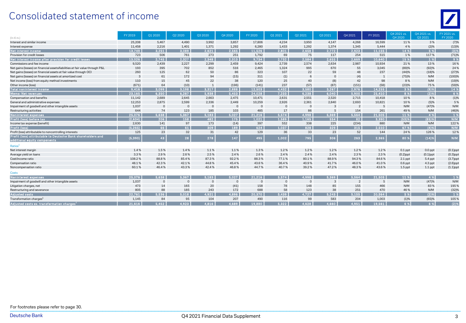## Consolidated statement of income



| $(ln \in m.)$                                                                                | FY 2019      | 01 20 20 | 02 20 20       | 03 20 20       | 04 20 20 | FY 2020  | 01 20 21 | Q22021   | 03 20 21 | 04 20 21       | FY 2021 | Q4 2021 vs<br>Q4 2020 | 04 2021 vs.<br>Q3 2021 | FY 2021 vs.<br>FY 2020 |
|----------------------------------------------------------------------------------------------|--------------|----------|----------------|----------------|----------|----------|----------|----------|----------|----------------|---------|-----------------------|------------------------|------------------------|
| Interest and similar income                                                                  | 25,208       | 5,467    | 4,490          | 3.992          | 3,857    | 17,806   | 4,234    | 3,950    | 4,147    | 4,268          | 16,599  | 11%                   | 3%                     | (7)%                   |
| Interest expense                                                                             | 11,458       | 2,216    | 1,401          | 1,371          | 1,292    | 6,280    | 1,433    | 1,292    | 1,374    | 1,345          | 5,444   | 4 %                   | (2)%                   | (13)%                  |
| Net interest income                                                                          | 13.749       | 3.251    | 3.089          | 2.621          | 2.565    | 11,526   | 2.801    | 2.658    | 2.772    | 2.923          | 11.155  | 14 %                  | 5 %                    | (3)%                   |
| Provision for credit losses                                                                  | 723          | 506      | 761            | 273            | 251      | 1,792    | 69       | 75       | 117      | 254            | 515     | 1%                    | 117%                   | (71)%                  |
| Net interest income after provision for credit losses                                        | 13.026       | 2.745    | 2.327          | 2.348          | 2.313    | 9.734    | 2.732    | 2.584    | 2,655    | 2.669          | 10,640  | 15 %                  | 1 %                    | 9%                     |
| Commissions and fee income                                                                   | 9,520        | 2,439    | 2,227          | 2,299          | 2,459    | 9,424    | 2,739    | 2,574    | 2,634    | 2,987          | 10,934  | 21%                   | 13%                    | 16%                    |
| Net gains (losses) on financial assets/liabilities at fair value through P&L                 | 193          | 395      | 702            | 852            | 516      | 2,465    | 1,324    | 995      | 670      | 55             | 3,045   | (89)%                 | (92)%                  | 24 %                   |
| Net gains (losses) on financial assets at fair value through OCI                             | 260          | 125      | 62             | 50             | 86       | 323      | 107      | 22       | 59       | 48             | 237     | (44)%                 | (18)%                  | (27)%                  |
| Net gains (losses) on financial assets at amortized cost                                     | $\mathbf{3}$ | 61       | 172            | 94             | (15)     | 311      | (1)      |          |          | (4)            |         | (75)%                 | N/M                    | (100)%                 |
| Net income (loss) from equity method investments                                             | 110          | 15       | 45             | 22             | 38       | 120      | 25       | 40       | (8)      | 42             | 98      | 8%                    | N/M                    | (19)%                  |
| Other income (loss)                                                                          | (671)        | 64       | (10)           |                | (196)    | (141)    | 237      | (57)     | (87)     | (151)          | (58)    | (23)%                 | 75%                    | (59)%                  |
| <b>Total noninterest income</b>                                                              | 9,416        | 3,099    | 3,198          | 3,317          | 2,888    | 12,503   | 4,432    | 3,580    | 3,267    | 2,976          | 14,255  | 3 %                   | (9)%                   | 14 %                   |
| <b>Memo: Net revenues</b>                                                                    | 23.165       | 6,350    | 6,287          | 5,938          | 5,453    | 24,028   | 7,233    | 6,238    | 6,040    | 5,900          | 25,410  | 8 %                   | (2)%                   | 6 %                    |
| Compensation and benefits                                                                    | 11.142       | 2,689    | 2.645          | 2.663          | 2.475    | 10.471   | 2.631    | 2.551    | 2.520    | 2.715          | 10.418  | 10%                   | 8%                     | (1)%                   |
| General and administrative expenses                                                          | 12,253       | 2.875    | 2,599          | 2.336          | 2.449    | 10.259   | 2,926    | 2.361    | 2.840    | 2,693          | 10,821  | 10%                   | (5)%                   | 5 %                    |
| Impairment of goodwill and other intangible assets                                           | 1,037        | $\Omega$ | $\Omega$       | $\Omega$       | $\Omega$ | $\Omega$ | $\Omega$ | $\Omega$ | 3        | $\overline{2}$ |         | N/M                   | (47)%                  | N/M                    |
| Restructuring activities                                                                     | 644          | 74       | 123            | 185            | 103      | 485      | 17       | 86       | 5        | 154            | 261     | 49%                   | N/M                    | (46)%                  |
| Noninterest expenses                                                                         | 25.076       | 5.638    | 5.367          | 5.183          | 5.027    | 21.216   | 5.574    | 4,998    | 5,369    | 5,564          | 21.505  | 11 %                  | 4 %                    | 1 %                    |
| Profit (loss) before tax                                                                     | (2,634)      | 206      | 158            | 482            | 175      | 1.021    | 1,589    | 1,165    | 554      | 82             | 3,390   | (53)%                 | (85)%                  | N/M                    |
| Income tax expense (benefit)                                                                 | 2,630        | 141      | 97             | 173            | (14)     | 397      | 552      | 338      | 225      | (234)          | 880     | N/M                   | N/M                    | 122%                   |
| <b>Profit (loss</b>                                                                          | (5.265)      | 66       | 61             | 309            | 189      | 624      | 1.037    | 828      | 329      | 315            | 2.510   | 67 %                  | (4)%                   | N/M                    |
| Profit (loss) attributable to noncontrolling interests                                       | 125          | 23       | 32             | 31             | 42       | 129      | 36       | 33       | 23       | 52             | 144     | 24%                   | 126%                   | 12%                    |
| Profit (loss) attributable to Deutsche Bank shareholders and<br>additional equity components | (5, 390)     | 43       | 28             | 278            | 147      | 495      | 1,002    | 795      | 306      | 263            | 2,365   | 80 %                  | (14)%                  | N/M                    |
| Ratios <sup>1</sup>                                                                          |              |          |                |                |          |          |          |          |          |                |         |                       |                        |                        |
| Net interest margin                                                                          | 1.4%         | 1.5%     | 1.4%           | 1.1%           | 1.1%     | 1.3%     | 1.2%     | 1.2%     | 1.2%     | 1.2%           | 1.2%    | $0.1$ ppt             | $0.0$ ppt              | $(0.1)$ ppt            |
| Average yield on loans                                                                       | 3.3%         | 2.9%     | 2.6%           | 2.5%           | 2.4%     | 2.6%     | 2.4%     | 2.4%     | 2.4%     | 2.3%           | 2.3%    | $(0.2)$ ppt           | $(0.1)$ ppt            | $(0.3)$ ppt            |
| Cost/income ratio                                                                            | 108.2%       | 88.8%    | 85.4%          | 87.3%          | 92.2%    | 88.3%    | 77.1%    | 80.1%    | 88.9%    | 94.3%          | 84.6%   | $2.1$ ppt             | 5.4 ppt                | $(3.7)$ ppt            |
| Compensation ratio                                                                           | 48.1%        | 42.3%    | 42.1%          | 44.8%          | 45.4%    | 43.6%    | 36.4%    | 40.9%    | 41.7%    | 46.0%          | 41.0%   | $0.6$ ppt             | 4.3 ppt                | $(2.6)$ ppt            |
| Noncompensation ratio                                                                        | 60.1%        | 46.4%    | 43.3%          | 42.4%          | 46.8%    | 44.7%    | 40.7%    | 39.2%    | 47.2%    | 48.3%          | 43.6%   | $1.5$ ppt             | $1.1$ ppt              | $(1.1)$ ppt            |
| Costs                                                                                        |              |          |                |                |          |          |          |          |          |                |         |                       |                        |                        |
| Noninterest expenses                                                                         | 25.076       | 5.638    | 5.367          | 5.183          | 5.027    | 21,216   | 5.574    | 4.998    | 5.369    | 5,564          | 21.505  | 11 %                  | 4 %                    | 1%                     |
| Impairment of goodwill and other intangible assets                                           | 1,037        | $\Omega$ | $\overline{0}$ | $\overline{0}$ | $\Omega$ | $\Omega$ | $\Omega$ | $\Omega$ | 3        | $\overline{2}$ | 5       | N/M                   | (47)%                  | N/M                    |
| Litigation charges, net                                                                      | 473          | 14       | 165            | 20             | (41)     | 158      | 78       | 148      | 85       | 155            | 466     | N/M                   | 83%                    | 195%                   |
| Restructuring and severance                                                                  | 805          | 88       | 185            | 243            | 172      | 688      | 58       | 123      | 38       | 251            | 470     | 46%                   | N/M                    | (32)%                  |
| <b>Adjusted costs</b>                                                                        | 22.761       | 5.536    | 5.018          | 4.921          | 4.896    | 20,370   | 5.439    | 4,727    | 5.243    | 5.155          | 20,564  | 5 %                   | (2)%                   | 1%                     |
| Transformation charges <sup>1</sup>                                                          | 1,145        | 84       | 95             | 104            | 207      | 490      | 116      | 99       | 583      | 204            | 1,003   | (1)%                  | (65)%                  | 105%                   |
| Adjusted costs ex. transformation charges                                                    | 21.616       | 5.452    | 4.923          | 4.816          | 4.689    | 19.880   | 5.322    | 4.628    | 088.4    | 4.951          | 19.561  | 6 %                   | 6%                     | (2)%                   |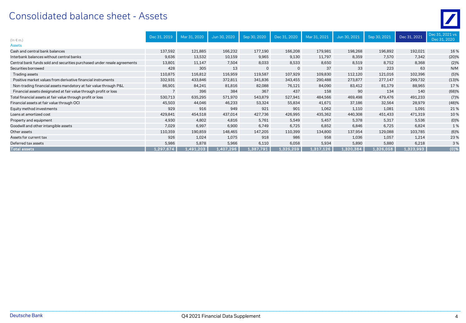# Consolidated balance sheet - Assets

| $(ln \in m.)$                                                            | Dec 31, 2019 | Mar 31, 2020 | Jun 30, 2020 | Sep 30, 2020 | Dec 31, 2020                     | Mar 31, 2021 | Jun 30, 2021 | Sep 30, 2021 | Dec 31, 2021 | Dec 31, 2021 vs.<br>Dec 31, 2020 |
|--------------------------------------------------------------------------|--------------|--------------|--------------|--------------|----------------------------------|--------------|--------------|--------------|--------------|----------------------------------|
| <b>Assets</b>                                                            |              |              |              |              |                                  |              |              |              |              |                                  |
| Cash and central bank balances                                           | 137,592      | 121,885      | 166,232      | 177,190      | 166,208                          | 179,981      | 198,268      | 196,892      | 192,021      | 16%                              |
| Interbank balances without central banks                                 | 9,636        | 13,532       | 10,159       | 9,965        | 9,130                            | 11,797       | 8,359        | 7,570        | 7,342        | (20)%                            |
| Central bank funds sold and securities purchased under resale agreements | 13,801       | 11,147       | 7,504        | 8,033        | 8,533                            | 8,650        | 8,519        | 8,752        | 8,368        | (2)%                             |
| Securities borrowed                                                      | 428          | 305          | 13           | $\mathbf{0}$ | $\mathbf{0}$                     | 37           | 33           | 223          | 63           | N/M                              |
| Trading assets                                                           | 110,875      | 116,812      | 116,959      | 119,587      | 107,929                          | 109,830      | 112,120      | 121,016      | 102,396      | (5)%                             |
| Positive market values from derivative financial instruments             | 332,931      | 433,846      | 372,811      | 341,836      | 343,455                          | 290,488      | 273,877      | 277,147      | 299,732      | (13)%                            |
| Non-trading financial assets mandatory at fair value through P&L         | 86,901       | 84,241       | 81,816       | 82,088       | 76,121                           | 84,090       | 83,412       | 81,179       | 88,965       | 17%                              |
| Financial assets designated at fair value through profit or loss         |              | 396          | 384          | 367          | 437                              | 158          | 90           | 134          | 140          | (68)%                            |
| Total financial assets at fair value through profit or loss              | 530,713      | 635,295      | 571,970      | 543,879      | 527,941                          | 484,566      | 469,498      | 479,476      | 491,233      | (7)%                             |
| Financial assets at fair value through OCI                               | 45,503       | 44,046       | 46,233       | 53,324       | 55,834                           | 41,671       | 37,186       | 32,564       | 28,979       | (48)%                            |
| Equity method investments                                                | 929          | 916          | 949          | 921          | 901                              | 1,062        | 1,110        | 1,081        | 1,091        | 21%                              |
| Loans at amortized cost                                                  | 429,841      | 454,518      | 437,014      | 427,736      | 426,995                          | 435,362      | 440,308      | 451,433      | 471,319      | 10%                              |
| Property and equipment                                                   | 4,930        | 4,802        | 4,816        | 5,761        | 5,549                            | 5,457        | 5,378        | 5,317        | 5,536        | (0)%                             |
| Goodwill and other intangible assets                                     | 7,029        | 6,997        | 6,900        | 6,749        | 6,725                            | 6,852        | 6,846        | 6,725        | 6,824        | 1%                               |
| Other assets                                                             | 110,359      | 190,859      | 148,465      | 147,205      | 110,399                          | 134,800      | 137,954      | 129,088      | 103,785      | (6)%                             |
| Assets for current tax                                                   | 926          | 1,024        | 1,075        | 918          | 986                              | 958          | 1,036        | 1,057        | 1,214        | 23%                              |
| Deferred tax assets                                                      | 5,986        | 5,878        | 5,966        | 6,110        | 6,058                            | 5,934        | 5,890        | 5,880        | 6,218        | 3%                               |
| Total assets                                                             | 1,297,674    | 1,491,203    | 1,407,296    | 1,387,791    | $\overline{1,325}$ ,259 $^\circ$ | 1,317,126    | 1,320,384    | 1,326,058    | 1,323,993    | (0)%                             |

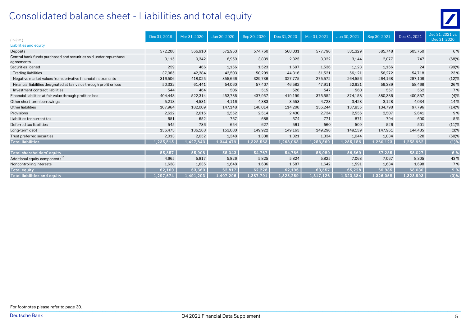# Consolidated balance sheet - Liabilities and total equity

| $(ln \in m.)$                                                                   | Dec 31, 2019 | Mar 31, 2020 | Jun 30, 2020 | Sep 30, 2020 | Dec 31, 2020 | Mar 31, 2021 | Jun 30, 2021 | Sep 30, 2021 | Dec 31, 2021 | Dec 31, 2021 vs.<br>Dec 31, 2020 |
|---------------------------------------------------------------------------------|--------------|--------------|--------------|--------------|--------------|--------------|--------------|--------------|--------------|----------------------------------|
| Liabilities and equity                                                          |              |              |              |              |              |              |              |              |              |                                  |
| Deposits                                                                        | 572,208      | 566,910      | 572,963      | 574,760      | 568,031      | 577.796      | 581,329      | 585,748      | 603,750      | 6 %                              |
| Central bank funds purchased and securities sold under repurchase<br>agreements | 3,115        | 9,342        | 6,959        | 3,839        | 2,325        | 3,022        | 3,144        | 2,077        | 747          | (68)%                            |
| Securities loaned                                                               | 259          | 466          | 1,156        | 1,523        | 1,697        | 1,536        | 1,123        | 1,166        | 24           | (99)%                            |
| <b>Trading liabilities</b>                                                      | 37,065       | 42,384       | 43,503       | 50,299       | 44,316       | 51,521       | 56,121       | 56,272       | 54,718       | 23%                              |
| Negative market values from derivative financial instruments                    | 316,506      | 418,025      | 355,666      | 329,736      | 327,775      | 275,572      | 264,556      | 264,168      | 287,108      | (12)%                            |
| Financial liabilities designated at fair value through profit or loss           | 50,332       | 61,441       | 54,060       | 57,407       | 46,582       | 47.911       | 52,921       | 59,389       | 58,468       | 26%                              |
| Investment contract liabilities                                                 | 544          | 464          | 506          | 515          | 526          | 547          | 560          | 557          | 562          | 7%                               |
| Financial liabilities at fair value through profit or loss                      | 404,448      | 522,314      | 453,736      | 437,957      | 419,199      | 375,552      | 374,158      | 380,386      | 400,857      | (4)%                             |
| Other short-term borrowings                                                     | 5,218        | 4,531        | 4,116        | 4,383        | 3,553        | 4,723        | 3,428        | 3,128        | 4,034        | 14%                              |
| Other liabilities                                                               | 107.964      | 182,009      | 147,148      | 148.014      | 114,208      | 136,244      | 137,855      | 134,798      | 97.796       | (14)%                            |
| Provisions                                                                      | 2,622        | 2,615        | 2,552        | 2,514        | 2,430        | 2,734        | 2,556        | 2,507        | 2,641        | 9%                               |
| Liabilities for current tax                                                     | 651          | 652          | 767          | 688          | 574          | 771          | 871          | 794          | 600          | 5 %                              |
| Deferred tax liabilities                                                        | 545          | 786          | 654          | 627          | 561          | 560          | 509          | 526          | 501          | (11)%                            |
| Long-term debt                                                                  | 136,473      | 136,168      | 153,080      | 149,922      | 149,163      | 149,296      | 149,139      | 147,961      | 144,485      | (3)%                             |
| Trust preferred securities                                                      | 2,013        | 2,052        | 1,348        | 1,338        | 1,321        | 1,334        | 1,044        | 1,034        | 528          | (60)%                            |
| <b>Total liabilities</b>                                                        | 1,235,515    | 1,427,843    | 1,344,479    | 1,325,563    | 1,263,063    | 1,253,569    | 1,255,156    | 1,260,123    | 1,255,962    | (1)%                             |
|                                                                                 |              |              |              |              |              |              |              |              |              |                                  |
| Total shareholders' equity                                                      | 55,857       | 55,908       | 55,343       | 54,767       | 54,786       | 56,089       | 56,569       | 57,235       | 58,027       | 6 %                              |
| Additional equity components <sup>10</sup>                                      | 4,665        | 5,817        | 5,826        | 5,825        | 5,824        | 5,825        | 7,068        | 7,067        | 8,305        | 43%                              |
| Noncontrolling interests                                                        | 1,638        | 1,635        | 1,648        | 1,636        | 1,587        | 1,642        | 1,591        | 1,634        | 1,698        | 7 %                              |
| Total equity                                                                    | 62,160       | 63,360       | 62,817       | 62,228       | 62,196       | 63,557       | 65,228       | 65,935       | 68,030       | 9%                               |
| <b>Total liabilities and equity</b>                                             | 1,297,674    | 1,491,203    | 1,407,296    | 1,387,791    | 1,325,259    | 1,317,126    | 1,320,384    | 1,326,058    | 1,323,993    | (0)%                             |

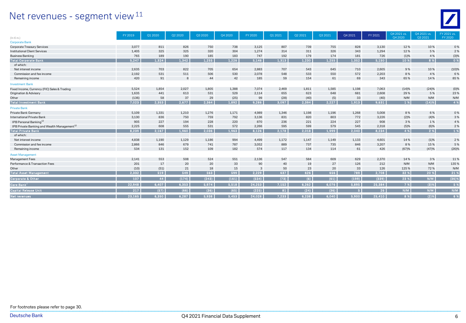#### Net revenues - segment view<sup>11</sup>



|                                                         | FY 2019 | Q1 2020 | Q2 2020 | Q3 2020 | Q4 2020 | FY 2020 | Q1 2021 | Q2 2021 | Q3 2021 | Q4 2021 | FY 2021 | O4 2021 vs. | O4 2021 vs. | FY 2021 vs. |
|---------------------------------------------------------|---------|---------|---------|---------|---------|---------|---------|---------|---------|---------|---------|-------------|-------------|-------------|
| $(ln \in m.)$                                           |         |         |         |         |         |         |         |         |         |         |         | Q4 2020     | Q3 2021     | FY 2020     |
| <b>Corporate Bank</b>                                   |         |         |         |         |         |         |         |         |         |         |         |             |             |             |
| Corporate Treasury Services                             | 3,077   | 811     | 826     | 750     | 738     | 3,125   | 807     | 739     | 755     | 828     | 3,130   | 12%         | 10%         | 0%          |
| <b>Institutional Client Services</b>                    | 1,405   | 325     | 325     | 320     | 304     | 1.274   | 314     | 311     | 326     | 343     | 1,294   | 12%         | 5 %         | 2%          |
| <b>Business Banking</b>                                 | 765     | 189     | 190     | 185     | 183     | 747     | 192     | 179     | 174     | 181     | 726     | (1)%        | 4 %         | (3)%        |
| <b>Total Corporate Bank</b>                             | 5,247   | 1.324   | 1.342   | 1.255   | 1.226   | 5,146   | 1,313   | 1,230   | 1,255   | 1,352   | 5,150   | 10 %        | 8 %         | 0%          |
| of which:                                               |         |         |         |         |         |         |         |         |         |         |         |             |             |             |
| Net interest income                                     | 2,635   | 703     | 822     | 705     | 654     | 2,883   | 707     | 543     | 645     | 710     | 2,605   | 9%          | 10%         | (10)%       |
| Commission and fee income                               | 2,192   | 531     | 511     | 506     | 530     | 2,078   | 548     | 533     | 550     | 572     | 2,203   | 8%          | 4 %         | 6%          |
| Remaining income                                        | 420     | 91      | 8       | 44      | 42      | 185     | 59      | 154     | 61      | 69      | 343     | 65%         | 14%         | 85%         |
| <b>Investment Bank</b>                                  |         |         |         |         |         |         |         |         |         |         |         |             |             |             |
| Fixed Income, Currency (FIC) Sales & Trading            | 5,524   | 1,854   | 2,027   | 1,805   | 1,388   | 7,074   | 2,469   | 1,811   | 1,585   | 1,198   | 7,063   | (14)%       | (24)%       | (0)%        |
| Origination & Advisory                                  | 1,635   | 441     | 613     | 531     | 529     | 2,114   | 655     | 623     | 648     | 681     | 2,608   | 29%         | 5 %         | 23%         |
| Other                                                   | (136)   | 58      | 37      | 29      | (25)    | 99      | (28)    | (40)    | (5)     | 33      | (40)    | N/M         | N/M         | N/M         |
| <b>Total Investment Bank</b>                            | 7,023   | 2.353   | 2.677   | 2.364   | 1.892   | 9.286   | 3,097   | 2.394   | 2.227   | 1.913   | 9,631   | 1 %         | (14)%       | 4 %         |
| <b>Private Bank</b>                                     |         |         |         |         |         |         |         |         |         |         |         |             |             |             |
| Private Bank Germany                                    | 5,109   | 1,331   | 1,210   | 1,276   | 1,171   | 4,989   | 1,346   | 1,198   | 1,196   | 1,268   | 5,008   | 8%          | 6 %         | 0%          |
| International Private Bank                              | 3,130   | 836     | 750     | 759     | 792     | 3,136   | 831     | 820     | 803     | 772     | 3,226   | (2)%        | (4)%        | 3%          |
| IPB Personal Banking <sup>12</sup>                      | 905     | 227     | 194     | 228     | 220     | 870     | 236     | 221     | 224     | 227     | 908     | 3%          | 1%          | 4 %         |
| IPB Private Banking and Wealth Management <sup>12</sup> | 2,225   | 608     | 555     | 531     | 572     | 2,266   | 595     | 599     | 579     | 545     | 2,318   | (5)%        | (6)%        | 2%          |
| <b>Total Private Bank</b>                               | 8,239   | 2,167   | 1,960   | 2.036   | 1,963   | 8,126   | 2,178   | 2,018   | 1,999   | 2,040   | 8,234   | 4 %         | 2 %         | 1%          |
| of which:                                               |         |         |         |         |         |         |         |         |         |         |         |             |             |             |
| Net interest income                                     | 4,838   | 1,190   | 1,129   | 1,186   | 994     | 4,499   | 1,172   | 1,147   | 1,149   | 1,133   | 4,601   | 14%         | (1)%        | 2 %         |
| Commission and fee income                               | 2,866   | 846     | 679     | 741     | 787     | 3,052   | 889     | 737     | 735     | 846     | 3,207   | 8%          | 15%         | 5 %         |
| Remaining income                                        | 534     | 131     | 152     | 109     | 182     | 574     | 117     | 134     | 114     | 61      | 426     | (67)%       | (47)%       | (26)%       |
| <b>Asset Management</b>                                 |         |         |         |         |         |         |         |         |         |         |         |             |             |             |
| Management Fees                                         | 2,141   | 553     | 508     | 524     | 551     | 2,136   | 547     | 584     | 609     | 629     | 2,370   | 14%         | 3%          | 11%         |
| Performance & Transaction Fees                          | 201     | 17      | 20      | 20      | 33      | 90      | 40      | 19      | 27      | 126     | 212     | N/M         | N/M         | 135%        |
| Other                                                   | (10)    | (51)    | 21      | 18      | 15      | 3       | 50      | 23      | 20      | 33      | 126     | 125%        | 72%         | N/M         |
| <b>Total Asset Management</b>                           | 2,332   | 519     | 549     | 563     | 599     | 2.229   | 637     | 626     | 656     | 789     | 2,708   | 32 %        | 20 %        | 21 %        |
| <b>Corporate &amp; Other</b>                            | 107     | 44      | (174)   | (243)   | (161)   | (534)   | (73)    | (6)     | (61)    | (199)   | (339)   | 23 %        | N/M         | (36)%       |
| Core Bank $^1$                                          | 22,948  | 6,407   | 6,353   | 5,974   | 5,518   | 24,253  | 7.152   | 6,262   | 6,076   | 5,895   | 25,384  | 7%          | $(3)$ %     | 5 %         |
| <b>Capital Release Unit</b>                             | 217     | (57)    | (66)    | (36)    | (65)    | (225)   | 81      | (24)    | (36)    |         | 26      | N/M         | N/M         | N/M         |
| <b>Net revenues</b>                                     | 23.165  | 6.350   | 6.287   | 5.938   | 5.453   | 24.028  | 7.233   | 6.238   | 6.040   | 5.900   | 25,410  | 8 %         | (2)%        | 6%          |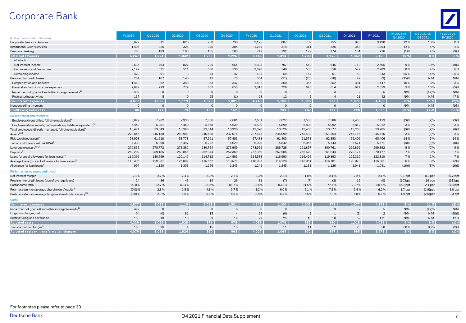# Corporate Bank



|                                                                            | FY 2019   | Q1 2020      | Q2 2020        | Q3 2020        | Q4 2020        | FY 2020  | Q1 2021        | Q2 2021        | Q3 2021       | Q4 2021  | FY 2021       | Q4 2021 vs. | Q4 2021 vs. | FY 2021 vs. |
|----------------------------------------------------------------------------|-----------|--------------|----------------|----------------|----------------|----------|----------------|----------------|---------------|----------|---------------|-------------|-------------|-------------|
| (In € m., unless stated otherwise)                                         |           |              |                |                |                |          |                |                |               |          |               | O4 2020     | 03 20 21    | FY 2020     |
| Corporate Treasury Services                                                | 3,077     | 811          | 826            | 750            | 738            | 3,125    | 807            | 739            | 755           | 828      | 3,130         | 12%         | 10%         | 0%          |
| <b>Institutional Client Services</b>                                       | 1,405     | 325          | 325            | 320            | 304            | 1,274    | 314            | 311            | 326           | 343      | 1,294         | 12%         | 5 %         | 2 %         |
| <b>Business Banking</b>                                                    | 765       | 189          | 190            | 185            | 183            | 747      | 192            | 179            | 174           | 181      | 726           | (1)%        | 4 %         | (3)%        |
| Total net revenues                                                         | 5.247     | 1,324        | 1.342          | 1,255          | 1.226          | 5,146    | 1,313          | 1,230          | 1,255         | 1.352    | 5,150         | 10 %        | 8%          | 0%          |
| of which:                                                                  |           |              |                |                |                |          |                |                |               |          |               |             |             |             |
| Net interest income                                                        | 2,635     | 703          | 822            | 705            | 654            | 2,883    | 707            | 543            | 645           | 710      | 2,605         | 9%          | 10%         | (10)%       |
| Commission and fee income                                                  | 2,192     | 531          | 511            | 506            | 530            | 2,078    | 548            | 533            | 550           | 572      | 2,203         | 8%          | 4 %         | 6%          |
| Remaining income                                                           | 420       | 91           | $\mathbf{8}$   | 44             | 42             | 185      | 59             | 154            | 61            | 69       | 343           | 65%         | 14%         | 85%         |
| Provision for credit losses                                                | 284       | 107          | 143            | 41             | 73             | 364      | (21)           | (20)           | (10)          | 47       | (3)           | (35)%       | N/M         | N/M         |
| Compensation and benefits                                                  | 1,419     | 362          | 340            | 353            | 347            | 1,402    | 360            | 355            | 352           | 381      | 1,447         | 10%         | 8%          | 3%          |
| General and administrative expenses                                        | 2,829     | 729          | 779            | 651            | 655            | 2.813    | 729            | 643            | 614           | 674      | 2,659         | 3%          | 10%         | (5)%        |
| Impairment of goodwill and other intangible assets <sup>13</sup>           | 492       | $\mathbf{0}$ | $\Omega$       | $\overline{0}$ | $\mathbf{0}$   | $\Omega$ | $\Omega$       | $\Omega$       | 3             |          | 5             | N/M         | (47)%       | N/M         |
| Restructuring activities                                                   | 137       | 5            | $\overline{0}$ | 25             | (1)            | 28       | 12             | 5              |               | 21       | 42            | N/M         | N/M         | 47%         |
| Noninterest expenses                                                       | 4.877     | 1.095        | 1.119          | 1.028          | 1.001          | 4.243    | 1.100          | 1.003          | 973           | 1.077    | 4.153         | 8 %         | 11 %        | (2)%        |
| Noncontrolling interests                                                   | $\Omega$  | $\Omega$     | $\Omega$       | $\Omega$       | $\Omega$       | $\Omega$ | $\Omega$       | $\Omega$       | $\Omega$      | $\Omega$ | $\Omega$      | N/M         | N/M         | N/M         |
| Profit (loss) before tax                                                   | 86        | 122          | 79             | 185            | 152            | 539      | 233            | 247            | 292           | 228      | 1.000         | 50 %        | (22)%       | 86 %        |
| <b>Balance sheet and resources</b>                                         |           |              |                |                |                |          |                |                |               |          |               |             |             |             |
| Employees (front office, full-time equivalent) <sup>t</sup>                | 8,022     | 7,962        | 7,936          | 7,886          | 7,681          | 7,681    | 7,627          | 7,583          | 7,586         | 7,453    | 7,453         | (3)%        | (2)%        | (3)%        |
| Employees (business-aligned operations, full-time equivalent) <sup>6</sup> | 5,449     | 5,381        | 5,460          | 5,658          | 5,639          | 5,639    | 5,899          | 5,880          | 5,992         | 5,812    | 5,812         | 3%          | (3)%        | 3%          |
| Total employees (directly-managed, full-time equivalent) <sup>6</sup>      | 13,471    | 13,343       | 13,396         | 13,544         | 13,320         | 13,320   | 13,526         | 13,463         | 13,577        | 13,265   | 13,265        | $(0)\%$     | (2)%        | (0)%        |
| Assets <sup>6,14</sup>                                                     | 228,846   | 245,130      | 240,903        | 246,420        | 237,675        | 237,675  | 246,099        | 245,482        | 251,264       | 245,716  | 245,716       | 3%          | (2)%        | 3%          |
| Risk-weighted assets <sup>6</sup>                                          | 58,993    | 61,518       | 58,778         | 57,991         | 57,483         | 57,483   | 61,403         | 61,578         | 62,353        | 65,406   | 65,406        | 14%         | 5 %         | 14%         |
| of which Operational risk RWA <sup>6</sup>                                 | 7,333     | 6,990        | 6,497          | 6,222          | 6,029          | 6,029    | 5,842          | 6,055          | 5,743         | 5,571    | 5,571         | (8)%        | (3)%        | (8)%        |
| Leverage exposure <sup>6,7,8</sup>                                         | 270,836   | 278,772      | 273,380        | 280,764        | 273,959        | 273,959  | 286,728        | 291,867        | 300,761       | 299,892  | 299,892       | 9%          | (0)%        | 9%          |
| Deposits <sup>6</sup>                                                      | 263,202   | 259,185      | 263,865        | 262,344        | 252,369        | 252,369  | 257,985        | 256,679        | 261,644       | 270,177  | 270,177       | 7%          | 3%          | 7 %         |
| Loans (gross of allowance for loan losses) <sup>6</sup>                    | 119,396   | 130,669      | 120,140        | 114,712        | 114,583        | 114,583  | 116,993        | 116,495        | 119,393       | 122,310  | 122,310       | 7%          | 2%          | 7 %         |
| Average loans (gross of allowance for loan losses) <sup>t</sup>            | 119,396   | 119,931      | 125,802        | 115,662        | 113,571        | 118,027  | 114,124        | 115,051        | 116,781       | 120,079  | 116,251       | 6%          | 3%          | (2)%        |
| Allowance for loan losses <sup>6</sup>                                     | 997       | 1,120        | 1,305          | 1,256          | 1,245          | 1.245    | 1,245          | 1,131          | 1,126         | 1,041    | 1,041         | (16)%       | (8)%        | (16)%       |
| Performance measures and ratios <sup>1</sup>                               |           |              |                |                |                |          |                |                |               |          |               |             |             |             |
| Net interest margin                                                        | 2.1%      | 2.2%         | 2.4%           | 2.3%           | 2.2%           | 2.3%     | 2.3%           | 1.8%           | 2.1%          | 2.2%     | 2.1%          | $0.1$ ppt   | $0.2$ ppt   | $(0.2)$ ppt |
| Provision for credit losses (bps of average loans)                         | 24        | 36           | 46             | 14             | 26             | 31       | (7)            | (7)            | (3)           | 16       | (0)           | $(10)$ bps  | 19 bps      | $(31)$ bps  |
| Cost/income ratio                                                          | 93.0%     | 82.7%        | 83.4%          | 82.0%          | 81.7%          | 82.5%    | 83.8%          | 81.5%          | 77.5%         | 79.7%    | 80.6%         | $(2.0)$ ppt | $2.1$ ppt   | $(1.8)$ ppt |
| Post-tax return on average shareholders' equity <sup>3</sup>               | $(0.0)$ % | 2.8%         | 1.5%           | 4.8%           | 3.7%           | 3.2%     | 6.0%           | 6.1%           | 7.3%          | 5.4%     | 6.2%          | $1.7$ ppt   | $(1.9)$ ppt | 3.0 ppt     |
| Post-tax return on average tangible shareholders' equity <sup>2,3</sup>    | $(0.0)$ % | 2.9%         | 1.6%           | 5.1%           | 4.0%           | 3.4%     | 6.4%           | 6.6%           | 7.8%          | 5.8%     | 6.7%          | $1.9$ ppt   | $(2.0)$ ppt | 3.3 ppt     |
| <b>Costs</b>                                                               |           |              |                |                |                |          |                |                |               |          |               |             |             |             |
| Noninterest expenses                                                       | 4.877     | 1.095        | 1.119          | 1.028          | 1.001          | 4.243    | 1.100          | 1.003          | 973           | 1.077    | 4.153         | 8 %         | 11 %        | (2)%        |
| Impairment of goodwill and other intangible assets <sup>13</sup>           | 492       | $\Omega$     | $\Omega$       | $\Omega$       | $\mathbf 0$    | $\Omega$ | $\overline{0}$ | $\overline{0}$ | $\mathcal{A}$ |          | 5             | N/M         | (47)%       | N/M         |
| Litigation charges, net                                                    | (4)       | (0)          | 81             | 15             | $\overline{4}$ | 99       | (0)            | $\mathcal{P}$  |               | (1)      | $\mathcal{P}$ | N/M         | N/M         | (98)%       |
| Restructuring and severance                                                | 150       | 10           | 10             | 39             | 19             | 79       | 25             | 18             | 10            | 59       | 111           | N/M         | N/M         | 42%         |
| <b>Adjusted costs</b>                                                      | 4.239     | 1.085        | 1.028          | 975            | 978            | 4.066    | 1,076          | 983            | 960           | 1,018    | 4.036         | 4 %         | 6 %         | (1)%        |
| Transformation charges <sup>1</sup>                                        | 160       | 26           | $\Delta$       | 15             | 15             | 59       | 11             | 11             | 12            | 23       | 58            | 60%         | 93%         | (2)%        |
| Adjusted costs ex. transformation charges                                  | 4.079     | 1.059        | 1.024          | 960            | 963            | 4,007    | 1.064          | 972            | 947           | 995      | 3,978         | 3 %         | 5 %         | (1)%        |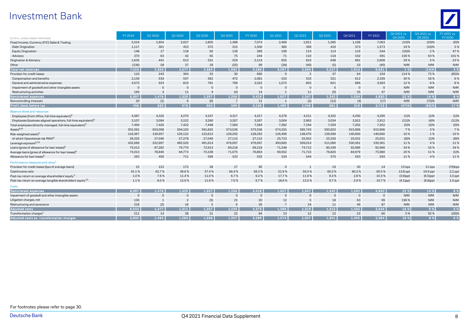## Investment Bank



| (In € m., unless stated otherwise)                                         | FY 2019        | Q1 2020      | Q2 2020  | Q3 2020        | Q4 2020      | FY 2020  | Q1 2021        | Q2 2021        | Q3 2021  | Q4 2021  | FY 2021     | O4 2021 vs.<br>Q4 2020 | O4 2021 vs.<br>Q3 2021 | FY 2021 vs.<br>FY 2020 |
|----------------------------------------------------------------------------|----------------|--------------|----------|----------------|--------------|----------|----------------|----------------|----------|----------|-------------|------------------------|------------------------|------------------------|
| Fixed Income, Currency (FIC) Sales & Trading                               | 5,524          | 1,854        | 2,027    | 1,805          | 1,388        | 7,074    | 2,469          | 1,811          | 1,585    | 1,198    | 7,063       | (14)%                  | (24)%                  | (0)%                   |
| Debt Origination                                                           | 1,117          | 361          | 453      | 372            | 315          | 1,500    | 385            | 399            | 416      | 373      | 1,573       | 19%                    | (10)%                  | 5%                     |
| <b>Equity Origination</b>                                                  | 148            | 17           | 118      | 95             | 139          | 369      | 199            | 114            | 114      | 116      | 544         | (16)%                  | 2 %                    | 47%                    |
| Advisory                                                                   | 370            | 63           | 42       | 65             | 75           | 244      | 71             | 110            | 118      | 192      | 491         | 156%                   | 63%                    | 101%                   |
| Origination & Advisory                                                     | 1,635          | 441          | 613      | 531            | 529          | 2,114    | 655            | 623            | 648      | 681      | 2,608       | 29%                    | 5 %                    | 23%                    |
| Other                                                                      | (136)          | 58           | 37       | 29             | (25)         | 99       | (28)           | (40)           | (5)      | 33       | (40)        | N/M                    | N/M                    | N/M                    |
| <b>Total net revenues</b>                                                  | 7,023          | 2.353        | 2,677    | 2.364          | 1.892        | 9.286    | 3,097          | 2,394          | 2.227    | 1,913    | 9,631       | 1 %                    | (14)%                  | 4 %                    |
| Provision for credit losses                                                | 110            | 243          | 364      | 53             | 30           | 690      | $\overline{0}$ | $\overline{2}$ | 37       | 64       | 104         | 114%                   | 75%                    | (85)%                  |
| Compensation and benefits                                                  | 2,156          | 539          | 507      | 562            | 472          | 2,081    | 533            | 533            | 521      | 612      | 2,199       | 30%                    | 18%                    | 6%                     |
| General and administrative expenses                                        | 4,073          | 933          | 810      | 791            | 789          | 3,323    | 1.073          | 803            | 821      | 886      | 3,583       | 12%                    | 8%                     | 8%                     |
| Impairment of goodwill and other intangible assets                         | $\overline{0}$ | $\Omega$     | $\Omega$ | $\Omega$       | $\Omega$     | $\Omega$ | $\Omega$       | $\Omega$       | $\Omega$ |          |             | N/M                    | N/M                    | N/M                    |
| Restructuring activities                                                   | 169            |              | 11       | $\overline{4}$ | (4)          | 14       | $\mathbf{1}$   | 11             | (0)      | 35       | 47          | N/M                    | N/M                    | N/M                    |
| Noninterest expenses                                                       | 6.397          | 1.476        | 1.329    | 1.357          | 1.256        | 5.418    | 1.607          | 1.347          | 1.342    | 1.534    | 5,830       | 22 %                   | 14 %                   | 8%                     |
| Noncontrolling interests                                                   | 20             | (1)          | 6        | (0)            | 7            | 11       | $\mathbf{1}$   | (2)            | (12)     | (4)      | (17)        | N/M                    | (70)%                  | N/M                    |
| Profit (loss) before tax                                                   | 496            | 635          | 978      | 954            | 599          | 3.166    | 1.489          | 1.046          | 861      | 319      | 3,715       | (47)%                  | $(63)$ %               | 17 %                   |
| <b>Balance sheet and resources</b>                                         |                |              |          |                |              |          |                |                |          |          |             |                        |                        |                        |
| Employees (front office, full-time equivalent) <sup>6</sup>                | 4,387          | 4,326        | 4,270    | 4,167          | 4,317        | 4,317    | 4,278          | 4,211          | 4,325    | 4,290    | 4,290       | (1)%                   | (1)%                   | (1)%                   |
| Employees (business-aligned operations, full-time equivalent) <sup>6</sup> | 3,107          | 3,094        | 3,152    | 3,280          | 3,267        | 3,267    | 3,004          | 2,983          | 3,034    | 2,912    | 2,912       | (11)%                  | (4)%                   | (11)%                  |
| Total employees (directly-managed, full-time equivalent) <sup>6</sup>      | 7,494          | 7,420        | 7,422    | 7,448          | 7,584        | 7,584    | 7,282          | 7,194          | 7,359    | 7,202    | 7,202       | (5)%                   | (2)%                   | (5)%                   |
| Assets <sup>6,14</sup>                                                     | 501,591        | 653,008      | 594,103  | 591,835        | 573,536      | 573,536  | 574,255        | 585,743        | 595,823  | 615,906  | 615,906     | 7%                     | 3%                     | 7%                     |
| Risk-weighted assets <sup>6</sup>                                          | 116,367        | 130,957      | 126,122  | 123,613        | 128,292      | 128,292  | 126,499        | 138,479        | 139,589  | 140,600  | 140,600     | 10%                    | 1%                     | 10%                    |
| of which Operational risk RWA <sup>6</sup>                                 | 26,525         | 27,046       | 27,278   | 27,049         | 27,115       | 27,115   | 25,723         | 25,952         | 25,329   | 25,031   | 25,031      | (8)%                   | (1)%                   | (8)%                   |
| Leverage exposure <sup>6,7,8</sup>                                         | 432,066        | 522,997      | 485,520  | 491,614        | 476,097      | 476,097  | 493,683        | 509,014        | 511,060  | 530,361  | 530,361     | 11%                    | 4 %                    | 11%                    |
| Loans (gross of allowance for loan losses) <sup>t</sup>                    | 75,013         | 87,282       | 79,770   | 72,913         | 69,218       | 69,218   | 71,248         | 74,712         | 80,199   | 92,966   | 92,966      | 34%                    | 16%                    | 34 %                   |
| Average loans (gross of allowance for loan losses) <sup>e</sup>            | 75,013         | 78,840       | 84,773   | 75,108         | 71,075       | 76,863   | 69,952         | 71,723         | 76,820   | 84,979   | 75,980      | 20%                    | 11%                    | (1)%                   |
| Allowance for loan losses <sup>6</sup>                                     | 263            | 456          | 711      | 599            | 533          | 533      | 534            | 544            | 570      | 593      | 593         | 11%                    | 4 %                    | 11%                    |
| Performance measures and ratios <sup>1</sup>                               |                |              |          |                |              |          |                |                |          |          |             |                        |                        |                        |
| Provision for credit losses (bps of average loans)                         | 15             | 123          | 172      | 28             | 17           | 90       | $\Omega$       |                | 19       | 30       | 14          | 13 bps                 | 11 bps                 | $(76)$ bps             |
| Cost/income ratio                                                          | 91.1%          | 62.7%        | 49.6%    | 57.4%          | 66.4%        | 58.3%    | 51.9%          | 56.3%          | 60.3%    | 80.2%    | 60.5%       | 13.8 ppt               | 19.9 ppt               | 2.2 ppt                |
| Post-tax return on average shareholders' equity <sup>3</sup>               | 1.0%           | 7.6%         | 11.4%    | 11.0%          | 6.7%         | 9.2%     | 17.7%          | 11.9%          | 9.3%     | 2.8%     | 10.3%       | $(3.9)$ ppt            | $(6.5)$ ppt            | $1.0$ ppt              |
| Post-tax return on average tangible shareholders' equity <sup>2,3</sup>    | 1.1%           | 8.0%         | 12.0%    | 11.6%          | 7.0%         | 9.7%     | 18.6%          | 12.5%          | 9.7%     | 2.9%     | 10.7%       | $(4.1)$ ppt            | $(6.8)$ ppt            | $1.0$ ppt              |
| <b>Costs</b>                                                               |                |              |          |                |              |          |                |                |          |          |             |                        |                        |                        |
| Noninterest expenses                                                       | 6,397          | 1.476        | 1.329    | 1.357          | 1.256        | 5,418    | 1,607          | 1.347          | 1.342    | 1.534    | 5,830       | 22 %                   | 14 %                   | 8 %                    |
| Impairment of goodwill and other intangible assets                         | $\mathbf 0$    | $\Omega$     | $\Omega$ | $\mathbf{0}$   | $\mathbf{0}$ | $\Omega$ | $\overline{0}$ | $\Omega$       | $\Omega$ | $\Omega$ | $\mathbf 0$ | N/M                    | N/M                    | N/M                    |
| Litigation charges, net                                                    | 135            | $\mathbf{1}$ |          | (5)            | 21           | 20       | 12             |                | 18       | 63       | 99          | 196%                   | N/M                    | N/M                    |
| Restructuring and severance                                                | 218            | (2)          | 16       | 5              | 6            | 26       | $\overline{7}$ | 24             | 11       | 46       | 87          | N/M                    | N/M                    | N/M                    |
| <b>Adjusted costs</b>                                                      | 6.044          | 1,477        | 1.311    | 1.357          | 1.229        | 5.373    | 1.588          | 1.319          | 1.313    | 1.425    | 5,644       | 16 %                   | 9 %                    | 5 %                    |
| Transformation charges <sup>1</sup>                                        | 211            | 14           | 28       | 21             | 22           | 84       | 13             | 12             | 12       | 23       | 60          | 5 %                    | 92%                    | (29)%                  |
| Adjusted costs ex. transformation charges                                  | 5.832          | 1.463        | 1.283    | 1.336          | 1.207        | 5.289    | 1.574          | 1.307          | 1.301    | 1.402    | 5.584       | 16%                    | 8 %                    | 6%                     |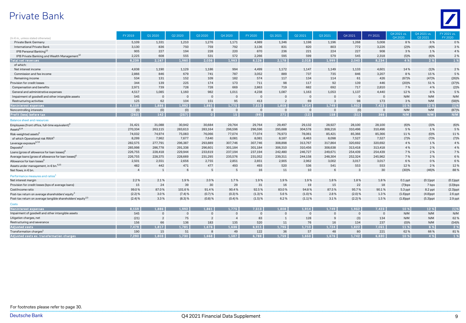## Private Bank



|                                                                         | FY 2019        | Q1 2020        | Q2 2020   | Q3 2020        | Q4 2020        | FY 2020      | Q1 2021        | Q2 2021        | Q3 2021      | Q4 2021   | FY 2021     | Q4 2021 vs. | Q4 2021 vs. | FY 2021 vs. |
|-------------------------------------------------------------------------|----------------|----------------|-----------|----------------|----------------|--------------|----------------|----------------|--------------|-----------|-------------|-------------|-------------|-------------|
| (In € m., unless stated otherwise)                                      |                |                |           |                |                |              |                |                |              |           |             | Q4 2020     | Q3 2021     | FY 2020     |
| Private Bank Germany                                                    | 5,109          | 1,331          | 1,210     | 1,276          | 1,171          | 4,989        | 1,346          | 1,198          | 1,196        | 1,268     | 5,008       | 8%          | 6%          | 0%          |
| <b>International Private Bank</b>                                       | 3,130          | 836            | 750       | 759            | 792            | 3,136        | 831            | 820            | 803          | 772       | 3,226       | (2)%        | (4)%        | 3%          |
| IPB Personal Banking <sup>12</sup>                                      | 905            | 227            | 194       | 228            | 220            | 870          | 236            | 221            | 224          | 227       | 908         | 3%          | 1%          | 4 %         |
| IPB Private Banking and Wealth Management <sup>12</sup>                 | 2,225          | 608            | 555       | 531            | 572            | 2,266        | 595            | 599            | 579          | 545       | 2,318       | (5)%        | (6)%        | 2%          |
| <b>Total net revenues</b>                                               | 8,239          | 2.167          | 1.960     | 2.036          | 1.963          | 8,126        | 2,178          | 2.018          | 1,999        | 2.040     | 8,234       | 4 %         | 2 %         | 1%          |
| of which:                                                               |                |                |           |                |                |              |                |                |              |           |             |             |             |             |
| Net interest income                                                     | 4,838          | 1,190          | 1,129     | 1.186          | 994            | 4.499        | 1,172          | 1,147          | 1,149        | 1,133     | 4,601       | 14%         | (1)%        | 2%          |
| Commission and fee income                                               | 2,866          | 846            | 679       | 741            | 787            | 3.052        | 889            | 737            | 735          | 846       | 3,207       | 8%          | 15%         | 5 %         |
| Remaining income                                                        | 534            | 131            | 152       | 109            | 182            | 574          | 117            | 134            | 114          | 61        | 426         | (67)%       | (47)%       | (26)%       |
| Provision for credit losses                                             | 344            | 139            | 225       | 174            | 173            | 711          | 98             | 117            | 92           | 139       | 446         | (20)%       | 51%         | (37)%       |
| Compensation and benefits                                               | 2,971          | 739            | 728       | 728            | 669            | 2.863        | 719            | 682            | 692          | 717       | 2.810       | 7 %         | 4 %         | (2)%        |
| General and administrative expenses                                     | 4,517          | 1,085          | 1,160     | 982            | 1,011          | 4,238        | 1,087          | 1,163          | 1,053        | 1,137     | 4,440       | 12%         | 8%          | 5 %         |
| Impairment of goodwill and other intangible assets                      | 545            | $\Omega$       | $\Omega$  | $\mathbf{0}$   | $\mathsf{O}$   | $\mathbf{0}$ | $\overline{0}$ | $\Omega$       | $\Omega$     | $\Omega$  | $\Omega$    | N/M         | N/M         | N/M         |
| Restructuring activities                                                | 125            | 62             | 104       | 151            | 95             | 413          | $\overline{2}$ | 69             | 3            | 98        | 173         | 3%          | N/M         | (58)%       |
| Noninterest expenses                                                    | 8.159          | 1,886          | 1,992     | 1.861          | 1,775          | 7,513        | 1.808          | 1.914          | 1,749        | 1,952     | 7,423       | 10 %        | 12 %        | (1)%        |
| Noncontrolling interests                                                | (0)            | (0)            | (0)       | $\mathbf 0$    | $\mathbf{0}$   | $\mathbf{0}$ | $\overline{0}$ | $\overline{0}$ | $\mathbf{0}$ | (0)       | $\mathbf 0$ | N/M         | N/M         | (87)%       |
| Profit (loss) before tax                                                | (263)          | 142            | (257)     | $\Omega$       | 15             | (99)         | 271            | (12)           | 158          | (51)      | 366         | N/M         | N/M         | N/M         |
| <b>Balance sheet and resources</b>                                      |                |                |           |                |                |              |                |                |              |           |             |             |             |             |
| Employees (front office, full-time equivalent) <sup>6</sup>             | 31,421         | 31,088         | 30,942    | 30,684         | 29,764         | 29,764       | 29,497         | 29,132         | 28,927       | 28,100    | 28,100      | (6)%        | (3)%        | (6)%        |
| Assets <sup>6,14</sup>                                                  | 270,334        | 263,115        | 283,613   | 283,164        | 296,596        | 296,596      | 295,688        | 304,578        | 308,216      | 310,496   | 310,496     | 5%          | 1%          | 5 %         |
| Risk-weighted assets <sup>6</sup>                                       | 74,032         | 74,974         | 75,083    | 76,066         | 77,074         | 77,074       | 76,973         | 78,061         | 85,421       | 85,366    | 85,366      | 11%         | (0)%        | 11%         |
| of which Operational risk RWA <sup>6</sup>                              | 8,299          | 7,962          | 7,677     | 7,640          | 8,081          | 8,081        | 8,187          | 8,463          | 8,098        | 7,527     | 7,527       | (7)%        | (7)%        | (7)%        |
| Leverage exposure <sup>6,7,8</sup>                                      | 282,575        | 277,791        | 296,387   | 293,889        | 307,746        | 307,746      | 308,898        | 313,767        | 317,864      | 320,692   | 320,692     | 4 %         | 1%          | 4 %         |
| Deposits <sup>6</sup>                                                   | 285,998        | 286,778        | 291,338   | 296.601        | 301,184        | 301,184      | 306,310        | 310,456        | 308,638      | 313,418   | 313,418     | 4 %         | 2%          | 4 %         |
| Loans (gross of allowance for loan losses) <sup>6</sup>                 | 226,755        | 228,418        | 229,944   | 233,619        | 237,194        | 237,194      | 242,480        | 246,727        | 249.671      | 254,439   | 254,439     | 7 %         | 2%          | 7%          |
| Average loans (gross of allowance for loan losses) <sup>6</sup>         | 226,755        | 228,375        | 228,669   | 231,295        | 235,576        | 231,052      | 239,311        | 244,158        | 248,304      | 252,324   | 245.962     | 7 %         | 2%          | 6%          |
| Allowance for loan losses <sup>6</sup>                                  | 2,501          | 2,551          | 2,656     | 2,755          | 2,851          | 2,851        | 2,905          | 2,962          | 3.002        | 3,017     | 3,017       | 6%          | 0%          | 6%          |
| Assets under management, in € bn. <sup>6,15</sup>                       | 482            | 442            | 471       | 477            | 493            | 493          | 520            | 536            | 541          | 553       | 553         | 12%         | 2%          | 12%         |
| Net flows, in € bn.                                                     | $\overline{4}$ | $\overline{1}$ | 6         | 5              | 5              | 16           | 11             | 10             | 6            |           | 30          | (30)%       | (46)%       | 88%         |
| Performance measures and ratios <sup>1</sup>                            |                |                |           |                |                |              |                |                |              |           |             |             |             |             |
| Net interest margin                                                     | 2.2%           | 2.1%           | 1.9%      | 2.0%           | 1.7%           | 1.9%         | 1.9%           | 1.9%           | 1.8%         | 1.8%      | 1.8%        | $0.1$ ppt   | $(0.1)$ ppt | $(0.1)$ ppt |
| Provision for credit losses (bps of average loans)                      | 15             | 24             | 39        | 30             | 29             | 31           | 16             | 19             | 15           | 22        | 18          | $(7)$ bps   | 7 bps       | $(13)$ bps  |
| Cost/income ratio                                                       | 99.0%          | 87.0%          | 101.6%    | 91.4%          | 90.4%          | 92.5%        | 83.0%          | 94.8%          | 87.5%        | 95.7%     | 90.1%       | 5.3 ppt     | 8.2 ppt     | $(2.3)$ ppt |
| Post-tax return on average shareholders' equity <sup>3</sup>            | $(2.2)$ %      | 3.0%           | $(7.4)$ % | (0.7)%         | (0.3) %        | (1.3) %      | 5.6%           | (1.0)%         | 2.8%         | $(2.0)$ % | 1.3%        | $(1.6)$ ppt | $(4.8)$ ppt | $2.6$ ppt   |
| Post-tax return on average tangible shareholders' equity <sup>2,3</sup> | $(2.4)$ %      | 3.3%           | (8.3) %   | $(0.8)$ %      | (0.4)%         | $(1.5)$ %    | 6.2%           | (1.1)%         | 3.1%         | $(2.2)$ % | 1.5%        | $(1.8)$ ppt | $(5.3)$ ppt | $2.9$ ppt   |
| <b>Costs</b>                                                            |                |                |           |                |                |              |                |                |              |           |             |             |             |             |
| Noninterest expenses                                                    | 8,159          | 1.886          | 1.992     | 1.861          | 1,775          | 7,513        | 1.808          | 1,914          | 1.749        | 1,952     | 7,423       | 10 %        | 12 %        | (1)%        |
| Impairment of goodwill and other intangible assets                      | 545            |                | $\Omega$  | $\Omega$       | $\Omega$       | $\Omega$     | $\Omega$       | $\Omega$       |              | $\Omega$  | $\Omega$    | N/M         | N/M         | N/M         |
| Litigation charges, net                                                 | (21)           | $\overline{2}$ | 75        | $\overline{2}$ | $\overline{4}$ | 83           | $\mathbf{1}$   | 128            | $\mathbf{c}$ | (3)       | 134         | N/M         | N/M         | 62%         |
| Restructuring and severance                                             | 156            | 66             | 136       | 183            | 135            | 520          | 11             | 76             | 16           | 134       | 237         | (0)%        | N/M         | (54)%       |
| <b>Adjusted costs</b>                                                   | 7,479          | 1,817          | 1,781     | 1,676          | 1,636          | 6,911        | 1,795          | 1,710          | 1,724        | 1,822     | 7,051       | 11 %        | 6 %         | 2 %         |
| Transformation charges <sup>1</sup>                                     | 190            | 15             | 51        | 8              | 49             | 122          | 36             | 57             | 48           | 80        | 221         | 62%         | 66%         | 81%         |
| Adiusted costs ex, transformation charges                               | 7.290          | 1.803          | 1.730     | 888.1          | 1.587          | 3.788        | 1.759          | 1.653          | 1,676        | 1.742     | 6.830       | 10 %        | 4 %         | 1%          |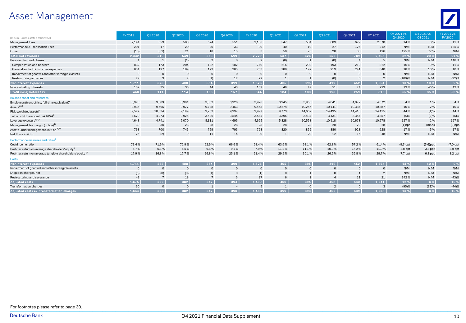# Asset Management



| (In € m., unless stated otherwise)                                      | FY 2019        | Q1 2020        | Q2 2020        | Q3 2020        | Q4 2020        | FY 2020        | Q1 2021      | 02 20 21       | 03 20 21       | Q4 2021        | FY 2021        | 04 2021 vs.<br>04 20 20 | Q4 2021 vs.<br>03 20 21 | FY 2021 vs.<br>FY 2020 |
|-------------------------------------------------------------------------|----------------|----------------|----------------|----------------|----------------|----------------|--------------|----------------|----------------|----------------|----------------|-------------------------|-------------------------|------------------------|
| Management Fees                                                         | 2,141          | 553            | 508            | 524            | 551            | 2,136          | 547          | 584            | 609            | 629            | 2,370          | 14%                     | 3%                      | 11%                    |
| Performance & Transaction Fees                                          | 201            | 17             | 20             | 20             | 33             | 90             | 40           | 19             | 27             | 126            | 212            | N/M                     | N/M                     | 135%                   |
| Other                                                                   | (10)           | (51)           | 21             | 18             | 15             | 3              | 50           | 23             | 20             | 33             | 126            | 125%                    | 72%                     | N/M                    |
| <b>Total net revenues</b>                                               | 2,332          | 519            | 549            | 563            | 599            | 2,229          | 637          | 626            | 656            | 789            | 2,708          | 32 %                    | 20 %                    | 21 %                   |
| Provision for credit losses                                             | $\mathbf{1}$   | $\mathbf{1}$   | (1)            | $\overline{2}$ | $\mathbf{0}$   | $\overline{2}$ | (0)          | $\overline{1}$ | (0)            | $\overline{4}$ | 5              | N/M                     | N/M                     | 148%                   |
| Compensation and benefits                                               | 832            | 173            | 204            | 182            | 182            | 740            | 216          | 202            | 193            | 210            | 822            | 16%                     | 9%                      | 11%                    |
| General and administrative expenses                                     | 851            | 197            | 189            | 173            | 205            | 763            | 188          | 192            | 219            | 241            | 840            | 18%                     | 10%                     | 10%                    |
| Impairment of goodwill and other intangible assets                      | $\overline{0}$ | 0              |                | $\mathbf{0}$   | $\overline{0}$ | $\mathbf 0$    | $\Omega$     |                | $\Omega$       |                |                | N/M                     | N/M                     | N/M                    |
| Restructuring activities                                                | 29             | 3              |                | (1)            | 12             | 22             |              |                | (0)            |                | $\overline{2}$ | (100)%                  | N/M                     | (92)%                  |
| Noninterest expenses                                                    | 1,711          | 373            | 400            | 354            | 399            | 1.526          | 405          | 395            | 412            | 452            | 1,664          | 13 %                    | 10 %                    | 9 %                    |
| Noncontrolling interests                                                | 152            | 35             | 36             | 44             | 43             | 157            | 49           | 49             | 51             | 74             | 223            | 73%                     | 46 %                    | 42 %                   |
| Profit (loss) before tax                                                | 468            | 111            | 114            | 163            | 157            | 544            | 184          | 180            | 193            | 259            | 816            | 65 %                    | 35 %                    | 50 %                   |
| <b>Balance sheet and resources</b>                                      |                |                |                |                |                |                |              |                |                |                |                |                         |                         |                        |
| Employees (front office, full-time equivalent) <sup>6</sup>             | 3,925          | 3,889          | 3,901          | 3,882          | 3,926          | 3,926          | 3,945        | 3,953          | 4,041          | 4,072          | 4,072          | 4 %                     | 1%                      | 4 %                    |
| Assets <sup>6,14</sup>                                                  | 9,936          | 9,595          | 9,977          | 9,738          | 9,453          | 9,453          | 10,274       | 10,257         | 10,141         | 10,387         | 10,387         | 10%                     | 2%                      | 10%                    |
| Risk-weighted assets <sup>6</sup>                                       | 9,527          | 10,034         | 9,199          | 9,283          | 9,997          | 9,997          | 9,773        | 14,662         | 14,495         | 14,415         | 14,415         | 44 %                    | (1)%                    | 44%                    |
| of which Operational risk RWA <sup>6</sup>                              | 4,570          | 4,273          | 3,925          | 3,586          | 3,544          | 3,544          | 3,395        | 3,434          | 3,431          | 3,357          | 3,357          | (5)%                    | (2)%                    | (5)%                   |
| Leverage exposure <sup>6,7,8</sup>                                      | 4,643          | 4,741          | 5,070          | 5,111          | 4,695          | 4,695          | 5,328        | 10,558         | 10,518         | 10,678         | 10,678         | 127%                    | 2 %                     | 127%                   |
| Management fee margin (in bps) <sup>16</sup>                            | 30             | 30             | 28             | 28             | 28             | 28             | 28           | 28             | 28             | 28             | 28             | $(1)$ bps               | $(0)$ bps               | $(0)$ bps              |
| Assets under management, in $\epsilon$ bn. $^{6,15}$                    | 768            | 700            | 745            | 759            | 793            | 793            | 820          | 859            | 880            | 928            | 928            | 17%                     | 5 %                     | 17%                    |
| Net flows, in € bn.                                                     | 25             | (2)            | 9              | 11             | 14             | 30             | 1            | 20             | 12             | 15             | 48             | N/M                     | N/M                     | N/M                    |
| Performance measures and ratios <sup>1</sup>                            |                |                |                |                |                |                |              |                |                |                |                |                         |                         |                        |
| Cost/income ratio                                                       | 73.4%          | 71.9%          | 72.9%          | 62.9%          | 66.6%          | 68.4%          | 63.6%        | 63.1%          | 62.8%          | 57.2%          | 61.4%          | $(9.3)$ ppt             | $(5.6)$ ppt             | $(7.0)$ ppt            |
| Post-tax return on average shareholders' equity <sup>3</sup>            | 6.7%           | 6.3%           | 6.5%           | 9.8%           | 9.4%           | 7.9%           | 11.2%        | 11.1%          | 10.9%          | 14.2%          | 11.9%          | 4.8 ppt                 | 3.3 ppt                 | 3.9 ppt                |
| Post-tax return on average tangible shareholders' equity <sup>2,3</sup> | 17.9%          | 16.8%          | 17.7%          | 26.8%          | 25.1%          | 21.4%          | 29.9%        | 30.1%          | 26.6%          | 32.8%          | 29.7%          | 7.7 ppt                 | 6.3 ppt                 | 8.2 ppt                |
| <b>Costs</b>                                                            |                |                |                |                |                |                |              |                |                |                |                |                         |                         |                        |
| Noninterest expenses                                                    | 1.711          | 373            | 400            | 354            | 399            | 1.526          | 405          | 395            | 412            | 452            | 1.664          | 13 %                    | 10 %                    | 9%                     |
| Impairment of goodwill and other intangible assets                      | $\overline{0}$ | $\mathbf 0$    | $\overline{0}$ | $\mathbf 0$    | $\mathbf 0$    | $\mathbf 0$    | $\Omega$     |                | C              |                |                | N/M                     | N/M                     | N/M                    |
| Litigation charges, net                                                 | (5)            | (0)            | (0)            | (1)            | $\mathbf 0$    | (1)            |              |                |                |                |                | N/M                     | N/M                     | N/M                    |
| Restructuring and severance                                             | 41             | $\overline{7}$ | 18             | $\overline{7}$ | 5              | 37             |              |                |                | 11             | 21             | 142%                    | N/M                     | (43)%                  |
| <b>Adjusted costs</b>                                                   | 1,675          | 366            | 382            | 347            | 394            | 1,490          | 400          | 394            | 408            | 440            | 1,641          | 12 %                    | 8 %                     | 10 %                   |
| Transformation charges <sup>1</sup>                                     | 30             | $\mathbf 0$    | $\mathbf{0}$   | $\overline{1}$ | $\overline{4}$ | 5              | $\mathbf{1}$ | $\overline{0}$ | $\overline{2}$ | $\Omega$       | 3              | (95)%                   | (91)%                   | (44)%                  |
| Adiusted costs ex. transformation charges                               | 1.644          | 366            | 382            | 347            | 390            | 1.485          | 399          | 393            | 406            | 439            | 1.638          | 13 %                    | 8%                      | 10 %                   |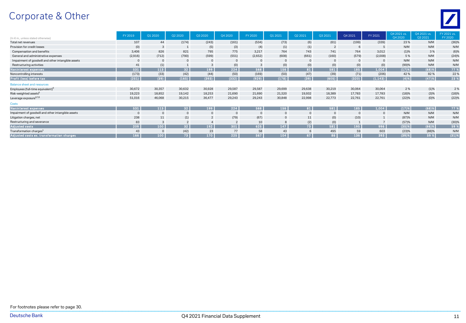# Corporate & Other



| (In $\epsilon$ m., unless stated otherwise)        | FY 2019 | Q1 2020     | Q2 2020         | Q3 2020        | Q4 2020       | FY 2020 | Q1 2021        | Q2 2021  | Q3 2021      | Q4 2021      | FY 2021        | 04 2021 vs.<br>Q4 2020 | O4 2021 vs.<br>Q3 2021 | FY 2021 vs.<br>FY 2020 |
|----------------------------------------------------|---------|-------------|-----------------|----------------|---------------|---------|----------------|----------|--------------|--------------|----------------|------------------------|------------------------|------------------------|
| Total net revenues                                 | 107     | 44          | (174)           | (243)          | (161)         | (534)   | (73)           | (6)      | (61)         | (199)        | (339)          | 23%                    | N/M                    | (36)%                  |
| Provision for credit losses                        | (0)     | 3           |                 | (5)            | (3)           | (4)     | (1)            | (1)      |              |              |                | N/M                    | N/M                    | N/M                    |
| Compensation and benefits                          | 3.406   | 826         | 821             | 795            | 775           | 3.217   | 764            | 743      | 741          | 764          | 3.012          | (1)%                   | 3%                     | (6)%                   |
| General and administrative expenses                | (2,916) | (712)       | (790)           | (599)          | (551)         | (2,652) | (608)          | (661)    | (160)        | (579)        | (2,008)        | 5%                     | N/M                    | (24)%                  |
| Impairment of goodwill and other intangible assets |         | $\Omega$    |                 | $\Omega$       | $\Omega$      | - 0     | $\overline{0}$ | $\Omega$ | $\mathbf{0}$ | $\mathbf{0}$ | $\mathbf{0}$   | N/M                    | N/M                    | N/M                    |
| Restructuring activities                           | 41      | (1)         |                 | 3              | (0)           |         | (0)            | (0)      | (0)          | (0)          | (0)            | (99)%                  | N/M                    | N/M                    |
| Noninterest expenses                               | 531     | 113         | 32 <sup>1</sup> | 199            | 224           | 568     | 156            | 81       | 581          | 185          | 1,004          | (17)%                  | (68)%                  | 77 %                   |
| Noncontrolling interests                           | (173)   | (33)        | (42)            | (44)           | (50)          | (169)   | (50)           | (47)     | (39)         | (71)         | (206)          | 42%                    | 82%                    | 22%                    |
| Profit (loss) before tax                           | (251)   | (39)        | (165)           | (393)          | (332)         | (929)   | (178)          | (39)     | (605)        | (320)        | (1, 143)       | (4)%                   | (47)%                  | 23 %                   |
| Balance sheet and resources                        |         |             |                 |                |               |         |                |          |              |              |                |                        |                        |                        |
| Employees (full-time equivalent) <sup>6</sup>      | 30,672  | 30,357      | 30,632          | 30,928         | 29,587        | 29,587  | 29,699         | 29,638   | 30,219       | 30,064       | 30,064         | 2%                     | (1)%                   | 2%                     |
| Risk-weighted assets <sup>6</sup>                  | 19,223  | 18,852      | 19,142          | 18,253         | 21,690        | 21,690  | 21,520         | 19,932   | 18,389       | 17,783       | 17,783         | (18)%                  | (3)%                   | (18)%                  |
| Leverage exposure <sup>6,7,8</sup>                 | 51,016  | 46,068      | 30,215          | 36,477         | 29,243        | 29,243  | 30,848         | 22,998   | 22,773       | 22,761       | 22,761         | (22)%                  | $(0)\%$                | (22)%                  |
| Costs                                              |         |             |                 |                |               |         |                |          |              |              |                |                        |                        |                        |
| Noninterest expenses                               | 531     | 113         | 32 <sub>1</sub> | 199            | 224           | 568     | 156            | 81       | 581          | 185          | 1,004          | (17)%                  | $(68)$ %               | 77 %                   |
| Impairment of goodwill and other intangible assets |         | $\mathbf 0$ |                 | $\mathbf{0}$   | $\Omega$      | - 0     |                | $\Omega$ | $\Omega$     | $\Omega$     |                | N/M                    | N/M                    | N/M                    |
| Litigation charges, net                            | 238     | 11          | (1)             | $\overline{2}$ | (79)          | (67)    |                | 11       | (0)          | (10)         |                | (87)%                  | N/M                    | N/M                    |
| Restructuring and severance                        | 83      |             | $\mathcal{P}$   |                | $\mathcal{P}$ | 10      | $\mathsf{R}$   | (2)      | (0)          |              | $\overline{ }$ | (57)%                  | N/M                    | (30)%                  |
| Adjusted costs                                     | 209     | 100         | 32 <sup>1</sup> | 192            | 301           | 625     | 147            | 73       | 581          | 195          | 996            | (35)%                  | $(66)$ %               | 59 %                   |
| Transformation charges <sup>1</sup>                | 43      | $\Omega$    | (42)            | 23             | 77            | 58      | 43             |          | 495          | 59           | 603            | (23)%                  | (88)%                  | N/M                    |
| Adjusted costs ex. transformation charges          | 166     | 100         | 73              | 170            | 225           | 567     | 104            | 67       | 86           | 136          | 393            | (39)%                  | 59 %                   | $(31)$ %               |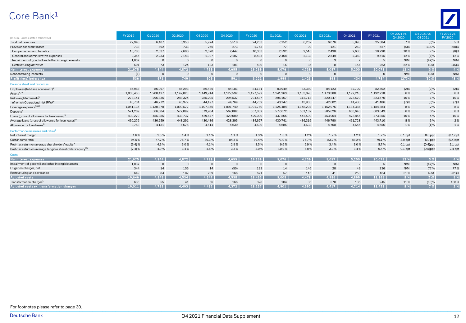# Core Bank 1



| (In € m., unless stated otherwise)                                      | FY 2019   | Q1 2020      | Q2 2020        | Q3 2020        | Q4 2020      | FY 2020        | Q1 2021        | Q2 2021        | Q3 2021      | Q4 2021   | FY 2021     | 04 2021 vs.<br>04 20 20 | Q4 2021 vs.<br>03 20 21 | FY 2021 vs.<br>FY 2020 |
|-------------------------------------------------------------------------|-----------|--------------|----------------|----------------|--------------|----------------|----------------|----------------|--------------|-----------|-------------|-------------------------|-------------------------|------------------------|
| Total net revenues                                                      | 22,948    | 6,407        | 6,353          | 5,974          | 5,518        | 24,253         | 7,152          | 6,262          | 6,076        | 5,895     | 25,384      | 7%                      | (3)%                    | 5%                     |
| Provision for credit losses                                             | 738       | 492          | 733            | 266            | 273          | 1,763          | 77             | 99             | 121          | 260       | 557         | (5)%                    | 116%                    | (68)%                  |
| Compensation and benefits                                               | 10,783    | 2,637        | 2,600          | 2,620          | 2.447        | 10,303         | 2,592          | 2,516          | 2,498        | 2,685     | 10,290      | 10%                     | 7%                      | $(0)\%$                |
| General and administrative expenses                                     | 9,355     | 2,233        | 2,148          | 1,997          | 2,107        | 8,485          | 2,468          | 2,138          | 2,549        | 2,360     | 9,515       | 12%                     | (7)%                    | 12%                    |
| Impairment of goodwill and other intangible assets                      | 1,037     | $\mathbf{0}$ | $\overline{0}$ | $\overline{0}$ | $\mathbf{0}$ | $\overline{0}$ | $\overline{0}$ | $\overline{0}$ | 3            |           | 5           | N/M                     | (47)%                   | N/M                    |
| Restructuring activities                                                | 501       | 73           | 124            | 183            | 101          | 480            | 16             | 85             |              | 154       | 263         | 52%                     | N/M                     | (45)%                  |
| Noninterest expenses                                                    | 21.675    | 4.944        | 4.872          | 4.799          | 4.655        | 19,269         | 5.076          | 4.739          | 5.057        | 5.200     | 20.073      | 12 %                    | 3 %                     | 4 %                    |
| Noncontrolling interests                                                | (1)       | $\mathbf 0$  |                | $\mathbf 0$    | 0            | $\mathbf{0}$   | $\Omega$       | $\overline{0}$ | $\mathbf{0}$ |           | $\mathbf 0$ | N/M                     | N/M                     | N/M                    |
| Profit (loss) before tax                                                | 536       | 971          | 749            | 909            | 591          | 3.221          | 1.999          | 1.423          | 898          | 434       | 4,754       | (27)%                   | (52)%                   | 48 %                   |
| <b>Balance sheet and resources</b>                                      |           |              |                |                |              |                |                |                |              |           |             |                         |                         |                        |
| Employees (full-time equivalent) <sup>6</sup>                           | 86,983    | 86,097       | 86,293         | 86,486         | 84,181       | 84,181         | 83,949         | 83,380         | 84,123       | 82,702    | 82,702      | (2)%                    | (2)%                    | (2)%                   |
| Assets <sup>6,14</sup>                                                  | 1,038,450 | 1,200,427    | 1,142,025      | 1,149,914      | 1,127,592    | 1,127,592      | 1,141,263      | 1,153,078      | 1,173,388    | 1,192,218 | 1,192,218   | 6%                      | 2 %                     | 6 %                    |
| Risk-weighted assets <sup>b</sup>                                       | 278,141   | 296,336      | 288,324        | 285,205        | 294,537      | 294,537        | 296,167        | 312,713        | 320,247      | 323,570   | 323,570     | 10%                     | 1%                      | 10%                    |
| of which Operational risk RWA <sup>6</sup>                              | 46,731    | 46,272       | 45,377         | 44,497         | 44,769       | 44,769         | 43,147         | 43,903         | 42,602       | 41,486    | 41,486      | (7)%                    | (3)%                    | (7)%                   |
| Leverage exposure <sup>6,7,8</sup>                                      | 1,041,135 | 1,130,370    | 1,090,572      | 1,107,856      | 1,091,740    | 1,091,740      | 1,125,484      | 1,148,204      | 1,162,976    | 1,184,384 | 1,184,384   | 8%                      | 2 %                     | 8%                     |
| Deposits <sup>6</sup>                                                   | 571,209   | 566,004      | 572,097        | 573,904        | 567,882      | 567,882        | 577,672        | 581,182        | 585,626      | 603,643   | 603,643     | 6%                      | 3%                      | 6%                     |
| Loans (gross of allowance for loan losses) <sup>t</sup>                 | 430,279   | 455,385      | 438,737        | 429,447        | 429,000      | 429,000        | 437,565        | 442,599        | 453,904      | 473,855   | 473,855     | 10%                     | 4 %                     | 10%                    |
| Average loans (gross of allowance for loan losses) <sup>6</sup>         | 430,279   | 436,259      | 448,291        | 430,486        | 428,395      | 434,627        | 430,741        | 436,316        | 446,790      | 461,728   | 443,710     | 8%                      | 3%                      | 2 %                    |
| Allowance for loan losses <sup>6</sup>                                  | 3,763     | 4,131        | 4,676          | 4,614          | 4,630        | 4,630          | 4,686          | 4,638          | 4,700        | 4,656     | 4,656       | 1%                      | (1)%                    | 1%                     |
| Performance measures and ratios <sup>1</sup>                            |           |              |                |                |              |                |                |                |              |           |             |                         |                         |                        |
| Net interest margin                                                     | 1.6%      | 1.5%         | 1.4%           | 1.1%           | 1.1%         | 1.3%           | 1.3%           | 1.2%           | 1.2%         | 1.2%      | 1.2%        | $0.1$ ppt               | $0.0$ ppt               | $(0.1)$ ppt            |
| Cost/income ratio                                                       | 94.5%     | 77.2%        | 76.7%          | 80.3%          | 84.3%        | 79.4%          | 71.0%          | 75.7%          | 83.2%        | 88.2%     | 79.1%       | 3.9 ppt                 | 5.0 ppt                 | $(0.4)$ ppt            |
| Post-tax return on average shareholders' equity <sup>3</sup>            | (6.4) %   | 4.3%         | 3.0%           | 4.1%           | 2.9%         | 3.5%           | 9.6%           | 6.9%           | 3.4%         | 3.0%      | 5.7%        | $0.1$ ppt               | $(0.4)$ ppt             | $2.1$ ppt              |
| Post-tax return on average tangible shareholders' equity <sup>2,3</sup> | $(7.4)$ % | 4.9%         | 3.4%           | 4.6%           | 3.3%         | 4.0%           | 10.9%          | 7.8%           | 3.9%         | 3.4%      | 6.4%        | $0.1$ ppt               | $(0.5)$ ppt             | 2.4 ppt                |
| Costs                                                                   |           |              |                |                |              |                |                |                |              |           |             |                         |                         |                        |
| Noninterest expenses                                                    | 21,675    | 4,944        | 4.872          | 4.799          | 4.655        | 19.269         | 5,076          | 4,739          | 5.057        | 5,200     | 20,073      | 12 %                    | 3 %                     | 4 %                    |
| Impairment of goodwill and other intangible assets                      | 1,037     | $\mathbf{0}$ | $\Omega$       | $\mathbf 0$    | $\mathbf{0}$ | $\mathbf{0}$   | $\Omega$       | $\Omega$       |              |           | 5           | N/M                     | (47)%                   | N/M                    |
| Litigation charges, net                                                 | 344       | 14           | 156            | 14             | (50)         | 133            | 14             | 146            | 28           | 49        | 236         | N/M                     | 77%                     | 77%                    |
| Restructuring and severance                                             | 649       | 84           | 182            | 239            | 166          | 671            | 57             | 116            | 41           | 250       | 464         | 51%                     | N/M                     | (31)%                  |
| <b>Adjusted costs</b>                                                   | 19.646    | 4,845        | 4,534          | 4,547          | 4,538        | 18,465         | 5,005          | 4,478          | 4,986        | 4,899     | 19,368      | 8 %                     | (2)%                    | 5 %                    |
| Transformation charges <sup>1</sup>                                     | 635       | 55           | 41             | 66             | 166          | 328            | 104            | 86             | 570          | 185       | 945         | 11%                     | (68)%                   | 188%                   |
| Adjusted costs ex. transformation charges                               | 19,011    | 4,791        | 4,493          | 4,481          | 4.372        | 18,137         | 4.901          | 4,392          | 4,417        | 4.714     | 18,423      | 8 %                     | 7%                      | 2%                     |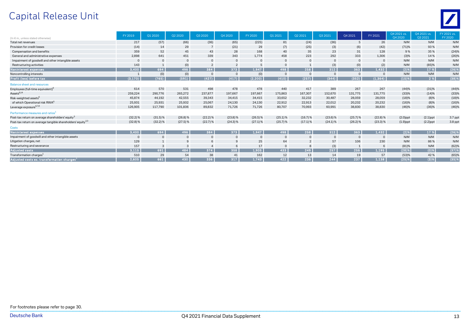# Capital Release Unit



| (In $\epsilon$ m., unless stated otherwise)                             | FY 2019    | Q1 2020      | Q2 2020    | Q3 2020        | Q4 2020        | FY 2020    | Q1 2021        | Q2 2021        | Q3 2021    | Q4 2021    | FY 2021     | 04 2021 vs.<br>04 20 20 | O4 2021 vs.<br>O3 2021 | FY 2021 vs.<br>FY 2020 |
|-------------------------------------------------------------------------|------------|--------------|------------|----------------|----------------|------------|----------------|----------------|------------|------------|-------------|-------------------------|------------------------|------------------------|
| Total net revenues                                                      | 217        | (57)         | (66)       | (36)           | (65)           | (225)      | 81             | (24)           | (36)       | 5          | 26          | N/M                     | N/M                    | N/M                    |
| Provision for credit losses                                             | (14)       | 14           | 29         |                | (21)           | 29         | (7)            | (25)           | (3)        | (6)        | (42)        | (71)%                   | 93%                    | N/M                    |
| Compensation and benefits                                               | 359        | 52           | 45         | 43             | 28             | 168        | 40             | 35             | 23         | 31         | 128         | 9%                      | 35 %                   | (24)%                  |
| General and administrative expenses                                     | 2,898      | 641          | 451        | 339            | 343            | 1,774      | 458            | 223            | 292        | 333        | 1,306       | (3)%                    | 14%                    | (26)%                  |
| Impairment of goodwill and other intangible assets                      |            | $\mathbf{0}$ | $\Omega$   |                | $\mathbf 0$    | $\Omega$   | $\overline{0}$ |                |            | $\Omega$   |             | N/M                     | N/M                    | N/M                    |
| Restructuring activities                                                | 143        |              | (0)        | $\overline{2}$ | $\overline{2}$ | -5         | $\Omega$       |                | (3)        | (0)        | (2)         | N/M                     | (85)%                  | N/M                    |
| Noninterest expenses                                                    | 3.400      | 694          | 496        | 384            | 373            | 1,947      | 498            | 258            | 312        | 363        | 1,432       | $(2)$ %                 | 17 %                   | (26)%                  |
| Noncontrolling interests                                                |            | (0)          | (0)        | $\circ$        | $\mathbf 0$    | (0)        | $\overline{0}$ | $\Omega$       | $\Omega$   | $\Omega$   | $\mathbf 0$ | N/M                     | N/M                    | N/M                    |
| Profit (loss) before tax                                                | (3, 170)   | (765)        | (591)      | (427)          | (417)          | (2, 200)   | (410)          | (257)          | (344)      | (352)      | (1, 364)    | $(15)$ %                | 2%                     | (38)%                  |
| <b>Balance sheet and resources</b>                                      |            |              |            |                |                |            |                |                |            |            |             |                         |                        |                        |
| Employees (full-time equivalent) <sup>t</sup>                           | 614        | 570          | 531        | 498            | 478            | 478        | 440            | 417            | 389        | 267        | 267         | (44)%                   | (31)%                  | (44)%                  |
| Assets <sup>6,14</sup>                                                  | 259,224    | 290,776      | 265,272    | 237,877        | 197,667        | 197,667    | 175,863        | 167,307        | 152,670    | 131,775    | 131,775     | (33)%                   | (14)%                  | (33)%                  |
| Risk-weighted assets <sup>6</sup>                                       | 45,874     | 44,192       | 42,555     | 39,343         | 34,415         | 34,415     | 33,652         | 32,232         | 30,487     | 28,059     | 28,059      | (18)%                   | (8)%                   | (18)%                  |
| of which Operational risk RWA <sup>6</sup>                              | 25,931     | 25,931       | 25,932     | 25,067         | 24,130         | 24,130     | 22,912         | 22,913         | 22,012     | 20,232     | 20,232      | (16)%                   | (8)%                   | (16)%                  |
| Leverage exposure <sup>6,7,8</sup>                                      | 126,905    | 117,790      | 101,836    | 89,832         | 71,726         | 71,726     | 80,707         | 70,993         | 60,991     | 38,830     | 38,830      | (46)%                   | (36)%                  | (46)%                  |
| Performance measures and ratios <sup>1</sup>                            |            |              |            |                |                |            |                |                |            |            |             |                         |                        |                        |
| Post-tax return on average shareholders' equity <sup>3</sup>            | $(32.2)$ % | $(31.5)$ %   | $(26.8)$ % | $(22.2)\%$     | $(23.8)$ %     | $(26.5)$ % | $(25.1)$ %     | (16.7)%        | $(23.6)$ % | $(25.7)$ % | $(22.8)$ %  | $(2.0)$ ppt             | $(2.1)$ ppt            | 3.7 ppt                |
| Post-tax return on average tangible shareholders' equity <sup>2,3</sup> | $(32.8)$ % | $(32.2)$ %   | $(27.5)$ % | $(22.7)$ %     | $(24.3)\%$     | $(27.1)$ % | $(25.7)$ %     | $(17.1)$ %     | $(24.1)\%$ | (26.2)%    | $(23.3)$ %  | $(1.9)$ ppt             | $(2.2)$ ppt            | 3.8 ppt                |
| <b>Costs</b>                                                            |            |              |            |                |                |            |                |                |            |            |             |                         |                        |                        |
| Noninterest expenses,                                                   | 3.400      | 694          | 496        | 384            | 373            | 1.947      | 498            | 258            | 312        | 363        | 1,432       | (2)%                    | 17 %                   | (26)%                  |
| Impairment of goodwill and other intangible assets                      |            | $\Omega$     | $\Omega$   |                | $\Omega$       | $\Omega$   | $\Omega$       |                | $\Omega$   |            |             | N/M                     | N/M                    | N/M                    |
| Litigation charges, net                                                 | 129        | $\mathbf{1}$ | 9          | 6              | 9              | 25         | 64             | $\overline{2}$ | 57         | 106        | 230         | N/M                     | 86%                    | N/M                    |
| Restructuring and severance                                             | 157        |              | 3          |                | 6              | 17         | $\overline{0}$ |                | (3)        |            |             | (81)%                   | N/M                    | (62)%                  |
| <b>Adjusted costs</b>                                                   | 3,115      | 691          | 484        | 374            | 358            | 1,905      | 433            | 249            | 257        | 256        | 1.195       | (28)%                   | $(0)$ %                | (37)%                  |
| Transformation charges <sup>1</sup>                                     | 510        | 29           | 54         | 38             | 41             | 162        | 12             | 13             | 14         | 19         | 57          | (53)%                   | 42 %                   | (65)%                  |
| Adjusted costs ex. transformation charges <sup>5</sup>                  | 2.605      | 661          | 430        | 336            | 317            | 1.743      | 422            | 236            | 244        | 237        | 1.138       | (25)%                   | (3)%                   | (35)%                  |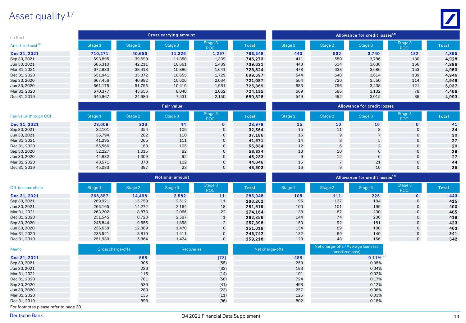## Asset quality<sup>17</sup>

| $(ln \in m)$                 |         |         | Gross carrying amount |                        |              | l Allowance for credit losses <sup>19</sup> <sup>1</sup> |         |         |                        |       |  |  |  |  |
|------------------------------|---------|---------|-----------------------|------------------------|--------------|----------------------------------------------------------|---------|---------|------------------------|-------|--|--|--|--|
| Amortized cost <sup>18</sup> | Stage 1 | Stage 2 | Stage 3               | Stage 3<br><b>POCI</b> | <b>Total</b> | Stage 1                                                  | Stage 2 | Stage 3 | Stage 3<br><b>POCI</b> | Total |  |  |  |  |
| Dec 31, 2021                 | 710,271 | 40,653  | 11,326                | 1,297                  | 763,548      | 440                                                      | 532     | 3,740   | 182                    | 4,895 |  |  |  |  |
| Sep 30, 2021                 | 693,895 | 39,690  | 11,350                | 1,339                  | 746.273      | 411                                                      | 550     | 3,786   | 180                    | 4,928 |  |  |  |  |
| Jun 30, 2021                 | 685,310 | 42,211  | 10,661                | 1,439                  | 739,621      | 448                                                      | 634     | 3,638   | 166                    | 4,886 |  |  |  |  |
| Mar 31, 2021                 | 672,883 | 38,413  | 10,886                | 1,641                  | 723.824      | 478                                                      | 633     | 3,686   | 153                    | 4,950 |  |  |  |  |
| Dec 31, 2020                 | 651,941 | 35,372  | 10,655                | 1,729                  | 699.697      | 544                                                      | 648     | 3,614   | 139                    | 4,946 |  |  |  |  |
| Sep 30, 2020                 | 667,456 | 40,992  | 10,606                | 2,034                  | 721.087      | 564                                                      | 720     | 3,550   | 114                    | 4,948 |  |  |  |  |
| Jun 30, 2020                 | 661.175 | 51,795  | 10,419                | 1,981                  | 725,369      | 683                                                      | 796     | 3,438   | 121                    | 5,037 |  |  |  |  |
| Mar 31, 2020                 | 670.377 | 43,656  | 8,040                 | 2.062                  | 724.135      | 669                                                      | 586     | 3.132   | 78                     | 4,466 |  |  |  |  |
| Dec 31, 2019                 | 645.967 | 24,680  | 7,531                 | 2,150                  | 680.328      | 549                                                      | 492     | 3,015   | 36                     | 4,093 |  |  |  |  |
|                              |         |         |                       |                        |              |                                                          |         |         |                        |       |  |  |  |  |

|                        |         |         | <b>Fair value</b> |                        |              | Allowance for credit losses <b>b</b> |                 |         |                        |              |  |  |  |  |
|------------------------|---------|---------|-------------------|------------------------|--------------|--------------------------------------|-----------------|---------|------------------------|--------------|--|--|--|--|
| Fair value through OCI | Stage 1 | Stage 2 | Stage 3           | Stage 3<br><b>POCI</b> | <b>Total</b> | Stage 1                              | Stage 2         | Stage 3 | Stage 3<br><b>POCI</b> | <b>Total</b> |  |  |  |  |
| Dec 31, 2021           | 28,609  | 326     | 44                | $\mathbf{0}$           | 28,979       | 15                                   | 10              | 16      | $\mathbf{0}$           | 41           |  |  |  |  |
| Sep 30, 2021           | 32,101  | 354     | 109               | $\mathbf{0}$           | 32,564       | 15                                   | 11              | 8       | $\mathbf{0}$           | 34           |  |  |  |  |
| Jun 30, 2021           | 36,794  | 282     | 110               | $\mathbf{0}$           | 37.186       | 15                                   |                 |         | $\mathbf{0}$           | 30           |  |  |  |  |
| Mar 31, 2021           | 41,295  | 265     | 111               | $\mathbf{0}$           | 41,671       | 14                                   |                 |         | 0                      | 27           |  |  |  |  |
| Dec 31, 2020           | 55,566  | 163     | 105               | $\mathbf{0}$           | 55.834       | 12                                   |                 |         | 0                      | 20           |  |  |  |  |
| Sep 30, 2020           | 52,227  | 1,015   | 82                | $\mathbf{0}$           | 53,324       | 13                                   | 10 <sup>°</sup> | 6       | 0                      | 29           |  |  |  |  |
| Jun 30, 2020           | 44,832  | 1,309   | 92                | $\overline{0}$         | 46,233       | 9                                    | 12 <sup>2</sup> | 6       | $\mathbf{0}$           | 27           |  |  |  |  |
| Mar 31, 2020           | 43,571  | 373     | 102               | $\mathbf{0}$           | 44,046       | 16                                   |                 | 21      | $\Omega$               | 44           |  |  |  |  |
| Dec 31, 2019           | 45,083  | 397     | 23                | $\mathbf{0}$           | 45,503       | 16                                   |                 | 10      | 0                      | 35           |  |  |  |  |

|                   |         |         | <b>Notional amount</b> |                        |         | Allowance for credit losses <sup>19</sup> |         |         |                        |       |  |  |  |
|-------------------|---------|---------|------------------------|------------------------|---------|-------------------------------------------|---------|---------|------------------------|-------|--|--|--|
| Off-balance sheet | Stage 1 | Stage 2 | Stage 3                | Stage 3<br><b>POCI</b> | Total   | Stage 1                                   | Stage 2 | Stage 3 | Stage 3<br><b>POCI</b> | Total |  |  |  |
| Dec 31, 2021      | 268,857 | 14,498  | 2,582                  | 11                     | 285,948 | 108                                       | 111     | 225     | $\mathbf{o}$           | 443   |  |  |  |
| Sep 30, 2021      | 269,921 | 15,759  | 2,512                  | 11                     | 288,202 | 95                                        | 137     | 184     | 0                      | 415   |  |  |  |
| Jun 30, 2021      | 265,165 | 14,272  | 2,164                  | 18                     | 281,619 | 100                                       | 101     | 199     | 0                      | 400   |  |  |  |
| Mar 31, 2021      | 263,202 | 8,873   | 2,066                  | 22                     | 274,164 | 138                                       | 67      | 200     | 0                      | 405   |  |  |  |
| Dec 31, 2020      | 251,545 | 8,723   | 2,587                  |                        | 262,856 | 144                                       | 74      | 200     | 0                      | 419   |  |  |  |
| Sep 30, 2020      | 245,844 | 9,655   | 1,898                  | $\overline{2}$         | 257,398 | 150                                       | 92      | 181     | $\mathbf{0}$           | 423   |  |  |  |
| Jun 30, 2020      | 236,658 | 12,889  | 1,470                  | $\mathbf{0}$           | 251.018 | 134                                       | 89      | 180     | $\mathbf{0}$           | 403   |  |  |  |
| Mar 31, 2020      | 233,521 | 8,810   | 1,411                  | $\mathbf{0}$           | 243.742 | 132                                       | 69      | 140     | 0                      | 341   |  |  |  |
| Dec 31, 2019      | 251,930 | 5,864   | 1,424                  | $\mathbf{0}$           | 259,218 | 128                                       | 48      | 166     | $\mathbf{0}$           | 342   |  |  |  |

| Memo         | Gross charge-offs | <b>Recoveries</b> | Net charge-offs | Net charge-offs / Average loans (at<br>amortized cost) |
|--------------|-------------------|-------------------|-----------------|--------------------------------------------------------|
| Dec 31, 2021 | 566               | (78)              | 488             | 0.11%                                                  |
| Sep 30, 2021 | 305               | (55)              | 250             | 0.05%                                                  |
| Jun 30, 2021 | 226               | (33)              | 193             | 0.04%                                                  |
| Mar 31, 2021 | 115               | (14)              | 101             | 0.02%                                                  |
| Dec 31, 2020 | 781               | (58)              | 724             | 0.17%                                                  |
| Sep 30, 2020 | 539               | (41)              | 498             | 0.12%                                                  |
| Jun 30, 2020 | 280               | (23)              | 257             | 0.06%                                                  |
| Mar 31, 2020 | 136               | (11)              | 125             | 0.03%                                                  |
| Dec 31, 2019 | 898               | (96)              | 802             | 0.18%                                                  |

\_\_\_\_\_\_\_\_\_\_\_\_\_\_\_\_\_\_\_\_\_\_\_\_\_\_\_\_\_\_\_\_\_\_\_\_\_\_\_\_\_\_\_\_\_\_\_\_\_\_\_\_\_\_\_\_\_\_\_\_\_\_\_\_\_\_\_\_\_\_\_\_\_\_\_\_\_\_\_\_\_\_\_\_\_\_\_\_\_\_\_\_\_\_\_\_\_\_\_\_\_\_\_\_\_\_\_\_\_\_\_\_\_\_\_\_\_\_\_\_\_\_\_\_\_\_\_\_\_\_\_\_\_\_\_\_\_ For footnotes please refer to page 30.

 $\mathbf{Z}$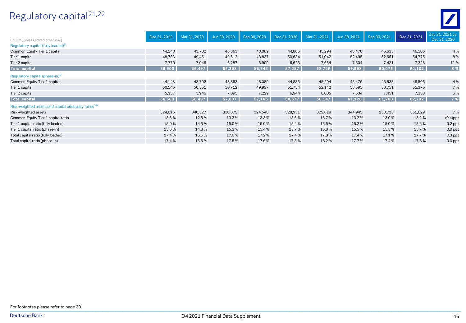# Regulatory capital 21,22



|                                                                 | Dec 31, 2019 | Mar 31, 2020 | Jun 30, 2020 | Sep 30, 2020 | Dec 31, 2020 | Mar 31, 2021 | Jun 30, 2021 | Sep 30, 2021 | Dec 31, 2021 | Dec 31, 2021 vs. |
|-----------------------------------------------------------------|--------------|--------------|--------------|--------------|--------------|--------------|--------------|--------------|--------------|------------------|
| (In $\epsilon$ m., unless stated otherwise)                     |              |              |              |              |              |              |              |              |              | Dec 31, 2020     |
| Regulatory capital (fully loaded) <sup>6</sup>                  |              |              |              |              |              |              |              |              |              |                  |
| Common Equity Tier 1 capital                                    | 44,148       | 43,702       | 43,863       | 43,089       | 44,885       | 45,294       | 45,476       | 45,633       | 46,506       | 4 %              |
| Tier 1 capital                                                  | 48,733       | 49,451       | 49,612       | 48,837       | 50,634       | 51,042       | 52,495       | 52,651       | 54,775       | 8%               |
| Tier 2 capital                                                  | 7,770        | 7,046        | 6,787        | 6,909        | 6,623        | 7,684        | 7,504        | 7,421        | 7,328        | 11%              |
| <b>Total capital</b>                                            | 56,503       | 56,497       | 56,398       | 55,746       | 57,257       | 58,726       | 59,998       | 60,073       | 62,102       | 8 %              |
| Regulatory capital (phase-in) <sup>6</sup>                      |              |              |              |              |              |              |              |              |              |                  |
| Common Equity Tier 1 capital                                    | 44,148       | 43,702       | 43,863       | 43,089       | 44,885       | 45,294       | 45,476       | 45,633       | 46,506       | 4 %              |
| Tier 1 capital                                                  | 50,546       | 50,551       | 50,712       | 49,937       | 51,734       | 52,142       | 53,595       | 53,751       | 55,375       | 7%               |
| Tier 2 capital                                                  | 5,957        | 5,946        | 7,095        | 7,229        | 6,944        | 8,005        | 7,534        | 7,451        | 7,358        | 6 %              |
| Total capital                                                   | 56,503       | 56,497       | 57,807       | 57,166       | 58,677       | 60,147       | 61,128       | 61,203       | 62,732       | 7 %              |
| Risk-weighted assets and capital adequacy ratios <sup>1,6</sup> |              |              |              |              |              |              |              |              |              |                  |
| Risk-weighted assets                                            | 324,015      | 340,527      | 330,879      | 324,548      | 328,951      | 329,819      | 344,945      | 350,733      | 351,629      | 7%               |
| Common Equity Tier 1 capital ratio                              | 13.6%        | 12.8%        | 13.3%        | 13.3%        | 13.6%        | 13.7%        | 13.2%        | 13.0%        | 13.2%        | $(0.4)$ ppt      |
| Tier 1 capital ratio (fully loaded)                             | 15.0%        | 14.5%        | 15.0%        | 15.0%        | 15.4%        | 15.5%        | 15.2%        | 15.0%        | 15.6%        | $0.2$ ppt        |
| Tier 1 capital ratio (phase-in)                                 | 15.6%        | 14.8%        | 15.3%        | 15.4%        | 15.7%        | 15.8%        | 15.5%        | 15.3%        | 15.7%        | $0.0$ ppt        |
| Total capital ratio (fully loaded)                              | 17.4%        | 16.6%        | 17.0%        | 17.2%        | 17.4%        | 17.8%        | 17.4%        | 17.1%        | 17.7%        | $0.3$ ppt        |
| Total capital ratio (phase-in)                                  | 17.4%        | 16.6%        | 17.5%        | 17.6%        | 17.8%        | 18.2%        | 17.7%        | 17.4%        | 17.8%        | $0.0$ ppt        |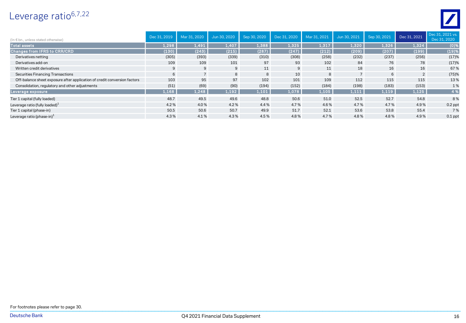## Leverage ratio<sup>6,7,22</sup>



| (In $\epsilon$ bn., unless stated otherwise)                              | Dec 31, 2019 | Mar 31, 2020    | Jun 30, 2020 | Sep 30, 2020 | Dec 31, 2020 | Mar 31, 2021 | Jun 30, 2021 | Sep 30, 2021 | Dec 31, 2021 | Dec 31, 2021 vs.<br>Dec 31, 2020 |
|---------------------------------------------------------------------------|--------------|-----------------|--------------|--------------|--------------|--------------|--------------|--------------|--------------|----------------------------------|
| <b>Total assets</b>                                                       | 1.298        | 1,491           | 1.407        | 1,388        | 1.325        | 1,317        | 1.320        | 1,326        | 1,324        | $(0)$ %                          |
| Changes from IFRS to CRR/CRD                                              | (130)        | (243)           | (215)        | (287)        | (247)        | (212)        | (209)        | (207)        | (199)        | (19)%                            |
| Derivatives netting                                                       | (305)        | (393)           | (339)        | (310)        | (308)        | (258)        | (232)        | (237)        | (256)        | (17)%                            |
| Derivatives add-on                                                        | 109          | 109             | 101          | 97           | 93           | 102          | 84           | 76           | 78           | (17)%                            |
| Written credit derivatives                                                | 9            | 9               | 9            | 11           | 9            | 11           | 18           | 16           | 16           | 67%                              |
| Securities Financing Transactions                                         | 6            | $7\overline{ }$ | 8            | 8            | 10           | 8            | $7^{\circ}$  | 6            | $2^{\circ}$  | (75)%                            |
| Off-balance sheet exposure after application of credit conversion factors | 103          | 95              | 97           | 102          | 101          | 109          | 112          | 115          | 115          | 13%                              |
| Consolidation, regulatory and other adjustments                           | (51)         | (69)            | (90)         | (194)        | (152)        | (184)        | (198)        | (183)        | (153)        | 1%                               |
| Leverage exposure                                                         | 1,168        | 1,248           | 1,192        | 1,101        | 1,078        | 1,105        | 1,111        | 1,119        | 1,125        | 4 %                              |
| Tier 1 capital (fully loaded)                                             | 48.7         | 49.5            | 49.6         | 48.8         | 50.6         | 51.0         | 52.5         | 52.7         | 54.8         | 8%                               |
| Leverage ratio (fully loaded) $1$                                         | 4.2%         | 4.0%            | 4.2%         | 4.4%         | 4.7%         | 4.6%         | 4.7%         | 4.7%         | 4.9%         | $0.2$ ppt                        |
| Tier 1 capital (phase-in)                                                 | 50.5         | 50.6            | 50.7         | 49.9         | 51.7         | 52.1         | 53.6         | 53.8         | 55.4         | 7 %                              |
| Leverage ratio (phase-in) $1$                                             | 4.3%         | 4.1%            | 4.3%         | 4.5%         | 4.8%         | 4.7%         | 4.8%         | 4.8%         | 4.9%         | $0.1$ ppt                        |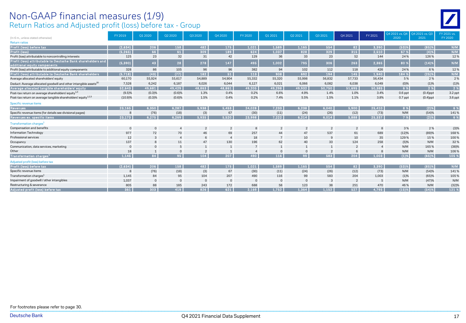#### Return Ratios and Adjusted profit (loss) before tax - Group Non-GAAP financial measures (1/9)

|                                                                              | FY 2019     | Q1 2020      | Q2 2020        | Q3 2020        | Q4 2020        | FY 2020  | Q1 2021        | Q2 2021        | Q3 2021        | Q4 2021        | FY 2021        | Q4 2021 vs. Q4<br>2020 | Q4 2021 vs. Q3<br>2021 | FY 2021 vs.<br>FY 2020 |
|------------------------------------------------------------------------------|-------------|--------------|----------------|----------------|----------------|----------|----------------|----------------|----------------|----------------|----------------|------------------------|------------------------|------------------------|
| (In $\epsilon$ m., unless stated otherwise)<br><b>Return ratios</b>          |             |              |                |                |                |          |                |                |                |                |                |                        |                        |                        |
| Profit (loss) before tax                                                     | (2,634)     | 206          | 158            | 482            | 175            | 1,021    | 1,589          | 1,165          | 554            | 82             | 3,390          | (53)%                  | (85)%                  | N/M                    |
| Profit (loss)                                                                | (5, 265)    | 66           | 61             | 309            | 189            | 624      | 1,037          | 828            | 329            | 315            | 2,510          | 67 %                   | (4)%                   | N/M                    |
| Profit (loss) attributable to noncontrolling interests                       | 125         | 23           | 32             | 31             | 42             | 129      | 36             | 33             | 23             | 52             | 144            | 24%                    | 126%                   | 12%                    |
| Profit (loss) attributable to Deutsche Bank shareholders and                 |             |              |                |                |                |          |                |                |                |                |                |                        |                        |                        |
| additional equity components                                                 | (5, 390)    | 43           | 28             | 278            | 147            | 495      | 1,002          | 795            | 306            | 263            | 2,365          | 80%                    | (14)%                  | N/M                    |
| Profit (loss) attributable to additional equity components                   | 328         | 86           | 105            | 96             | 96             | 382      | 94             | 102            | 112            | 118            | 426            | 24 %                   | 6%                     | 12%                    |
| Profit (loss) attributable to Deutsche Bank shareholders                     | (5,718)     | (43)         | (77)           | 182            | 51             | 113      | 908            | 692            | 194            | 145            | 1.940          | 184 %                  | (25)%                  | N/M                    |
| Average allocated shareholders' equity                                       | 60,170      | 55,924       | 55,617         | 54,889         | 54,904         | 55,332   | 55,320         | 55,998         | 56,832         | 57,733         | 56,434         | 5%                     | 2%                     | 2 %                    |
| Deduct: Average allocated goodwill and other intangible assets <sup>20</sup> | 7,528       | 6,242        | 6,187          | 6,026          | 6,044          | 6,127    | 6,021          | 6,066          | 6,082          | 6,038          | 6,049          | (0)%                   | (1)%                   | (1)%                   |
| Average allocated tangible shareholders' equity                              | 52,643      | 49,681       | 49,429         | 48,863         | 48,861         | 49,205   | 49,298         | 49.932         | 50,750         | 51.695         | 50.385         | 6%                     | 2 %                    | 2%                     |
| Post-tax return on average shareholders' equity <sup>1,3</sup>               | (9.5)%      | (0.3)%       | (0.6)%         | 1.3%           | 0.4%           | 0.2%     | 6.6%           | 4.9%           | 1.4%           | 1.0%           | 3.4%           | $0.6$ ppt              | $(0.4)$ ppt            | 3.2 ppt                |
| Post-tax return on average tangible shareholders' equity <sup>1,2,3</sup>    | (10.9)%     | (0.3)%       | (0.6)%         | 1.5%           | 0.4%           | 0.2%     | 7.4%           | 5.5%           | 1.5%           | 1.1%           | 3.8%           | $0.7$ ppt              | $(0.4)$ ppt            | 3.6 ppt                |
| Specific revenue items                                                       |             |              |                |                |                |          |                |                |                |                |                |                        |                        |                        |
| Revenues                                                                     | 23,165      | 6,350        | 6,287          | 5,938          | 5,453          | 24,028   | 7,233          | 6,238          | 6,040          | 5,900          | 25,410         | 8 %                    | $(2)$ %                | 6%                     |
| Specific revenue items (for details see divisional pages)                    | 8           | (76)         | (18)           | (3)            | 67             | (30)     | (11)           | (24)           | (26)           | (12)           | (73)           | N/M                    | (54)%                  | 141%                   |
| Revenues ex. specific items                                                  | 23.173      | 6,275        | 6.269          | 5,935          | 5,520          | 23.998   | 7,222          | 6,214          | 6.014          | 5.888          | 25,337         | 7%                     | (2)%                   | 6%                     |
| Transformation charges <sup>1</sup>                                          |             |              |                |                |                |          |                |                |                |                |                |                        |                        |                        |
| Compensation and benefits                                                    | $\mathbf 0$ | $\circ$      | $\overline{4}$ | $\overline{2}$ | $\overline{2}$ |          | $\overline{2}$ | $\overline{2}$ | $\overline{2}$ | $\overline{2}$ | 8              | 3%                     | 2 %                    | (3)%                   |
| <b>Information Technology</b>                                                | 977         | 72           | 70             | 46             | 69             | 257      | 44             | 47             | 537            | 61             | 689            | (12)%                  | (89)%                  | 168%                   |
| Professional services                                                        | 12          | 3            | $\overline{4}$ | 6              | $\overline{4}$ | 18       | $\overline{7}$ | 10             | 9              | 10             | 35             | 129%                   | 15%                    | 100%                   |
| Occupancy                                                                    | 137         | 8            | 11             | 47             | 130            | 196      | 62             | 40             | 33             | 124            | 258            | (5)%                   | N/M                    | 32%                    |
| Communication, data services, marketing                                      | $\Omega$    | $\mathbf 0$  | 5              | $\mathbf{1}$   | $\overline{1}$ | 7        | $\mathbf{1}$   | 1              | $\mathbf{1}$   | $\overline{2}$ | $\overline{4}$ | N/M                    | 165%                   | (38)%                  |
| Other                                                                        | 18          | $\mathbf{1}$ | $\Omega$       | $\overline{2}$ |                |          | $\Omega$       | $\mathbf 0$    | $\overline{2}$ | 6              | $\mathcal{B}$  | N/M                    | N/M                    | 106%                   |
| Transformation charges <sup>1</sup>                                          | 1.145       | 84           | 95             | 104            | 207            | 490      | 116            | $99-1$         | 583            | 204            | 1,003          | (1)%                   | $(65)$ %               | 105 %                  |
| Adjusted profit (loss) before tax                                            |             |              |                |                |                |          |                |                |                |                |                |                        |                        |                        |
| Profit (loss) before tax                                                     | (2.634)     | 206          | 158            | 482            | 175            | 1.021    | 1.589          | 1.165          | 554            | 82             | 3,390          | (53)%                  | (85)%                  | N/M                    |
| Specific revenue items                                                       | 8           | (76)         | (18)           | (3)            | 67             | (30)     | (11)           | (24)           | (26)           | (12)           | (73)           | N/M                    | (54)%                  | 141%                   |
| Transformation charges <sup>1</sup>                                          | 1.145       | 84           | 95             | 104            | 207            | 490      | 116            | 99             | 583            | 204            | 1,003          | (1)%                   | (65)%                  | 105%                   |
| Impairment of goodwill / other intangibles                                   | 1,037       | $\mathbf 0$  | $\mathbf{0}$   | $\mathbf{0}$   | $\overline{0}$ | $\Omega$ | $\mathbf 0$    | $\mathbf 0$    | 3              | $\overline{2}$ | - 5            | N/M                    | (47)%                  | N/M                    |
| Restructuring & severance                                                    | 805         | 88           | 185            | 243            | 172            | 688      | 58             | 123            | 38             | 251            | 470            | 46%                    | N/M                    | (32)%                  |
| Adjusted profit (loss) before tax                                            | 361         | 303          | 419            | 826            | 621            | 2,169    | 1,752          | 1,364          | 1.152          | 527            | 4,795          | (15)%                  | (54)%                  | 121 %                  |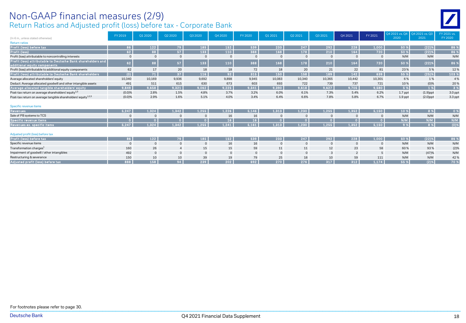#### Return Ratios and Adjusted profit (loss) before tax - Corporate Bank Non-GAAP financial measures (2/9)

|                                                                                              | FY 2019     | 01 20 20       | Q2 2020        | Q3 2020      | O4 2020         | FY 2020         | Q1 2021     | 02 20 21       | Q3 2021      | Q4 2021        | FY 2021        | Q4 2021 vs. Q4<br>2020 | Q4 2021 vs. Q3<br>2021 | FY 2021 vs.<br>FY 2020 |
|----------------------------------------------------------------------------------------------|-------------|----------------|----------------|--------------|-----------------|-----------------|-------------|----------------|--------------|----------------|----------------|------------------------|------------------------|------------------------|
| (In $\epsilon$ m., unless stated otherwise)                                                  |             |                |                |              |                 |                 |             |                |              |                |                |                        |                        |                        |
| <b>Return ratios</b>                                                                         | 86          | 122            |                | 185          |                 |                 | 233         | 247            | 292          | 228            |                | 50 %                   |                        | 86 %                   |
| Profit (loss) before tax                                                                     |             |                | 79             |              | 152             | 539             |             |                |              |                | 1,000          |                        | (22)%                  |                        |
| <b>Profit (loss)</b>                                                                         | 62          | 88             | 57             | 133          | 110             | 388             | 168         | 178            | 210          | 164            | 720            | 50 %                   | $(22)$ %               | 86 %                   |
| Profit (loss) attributable to noncontrolling interests                                       | $\mathbf 0$ | $\mathbf 0$    | $\circ$        | $\mathbf 0$  | $\overline{0}$  |                 |             | $\overline{0}$ | $\Omega$     |                | $\Omega$       | N/M                    | N/M                    | N/M                    |
| Profit (loss) attributable to Deutsche Bank shareholders and<br>additional equity components | 62          | 88             | 57             | 133          | 110             | 388             | 168         | 178            | 210          | 164            | 720            | 50 %                   | (22)%                  | 86 %                   |
| Profit (loss) attributable to additional equity components                                   | 62          | 17             | 20             | 18           | 18              | 72              | 18          | 20             | 21           | 22             | 81             | 23%                    | 5 %                    | 12%                    |
| Profit (loss) attributable to Deutsche Bank shareholders                                     | (0)         | 71             | 37             | 116          | 92              | 315             | 150         | 158            | 189          | 142            | 639            | 55 %                   | $(25)$ %               | 103 %                  |
| Average allocated shareholders' equity                                                       | 10,340      | 10,169         | 9,936          | 9,692        | 9,898           | 9,945           | 10,083      | 10,340         | 10,365       | 10,442         | 10,301         | 6%                     | 1%                     | 4 %                    |
| Deduct: Average allocated goodwill and other intangible assets                               | 491         | 511            | 615            | 630          | 673             | 603             | 693         | 722            | 739          | 737            | 721            | 10%                    | $(0)$ %                | 20%                    |
| Average allocated tangible shareholders' equity                                              | 9,849       | 9,658          | 9,321          | 9,062        | 9,225           | 9,341           | 9,390       | 9,618          | 9.627        | 9,705          | 9,580          | 5 %                    | 1%                     | 3%                     |
| Post-tax return on average shareholders' equity <sup>1,3</sup>                               | (0.0)%      | 2.8%           | 1.5%           | 4.8%         | 3.7%            | 3.2%            | 6.0%        | 6.1%           | 7.3%         | 5.4%           | 6.2%           | $1.7$ ppt              | $(1.9)$ ppt            | 3.0 ppt                |
| Post-tax return on average tangible shareholders' equity <sup>1,2,3</sup>                    | (0.0)%      | 2.9%           | 1.6%           | 5.1%         | 4.0%            | 3.4%            | 6.4%        | 6.6%           | 7.8%         | 5.8%           | 6.7%           | $1.9$ ppt              | $(2.0)$ ppt            | 3.3 ppt                |
|                                                                                              |             |                |                |              |                 |                 |             |                |              |                |                |                        |                        |                        |
| Specific revenue items                                                                       |             |                |                |              |                 |                 |             |                |              |                |                |                        |                        |                        |
| <b>Revenues</b>                                                                              | 5,247       | 1,324          | 1,342          | 1,255        | 1,226           | 5,146           | 1,313       | 1,230          | 1,255        | 1,352          | 5.150          | 10 %                   | 8 %                    | 0%                     |
| Sale of PB systems to TCS                                                                    | $\Omega$    | $\overline{0}$ | $\mathbf{0}$   | $\mathbf 0$  | 16              | 16              | $\mathbf 0$ | $\mathbf{0}$   | $\mathbf{0}$ | $\mathbf 0$    | $\overline{0}$ | N/M                    | N/M                    | N/M                    |
| Specific revenue items                                                                       |             | $\bullet$      | $\overline{0}$ | $\bullet$    | 16 <sub>1</sub> | 16 <sub>1</sub> | $\Omega$    | $\overline{0}$ |              | $\overline{0}$ |                | N/M                    | N/M                    | N/M                    |
| Revenues ex. specific items                                                                  | 5,247       | 1,324          | 1,342          | 1,255        | 1,241           | 5,161           | 1,313       | 1,230          | 1,255        | 1,352          | 5,150          | 9%                     | 8 %                    | $(0)$ %                |
| Adjusted profit (loss) before tax                                                            |             |                |                |              |                 |                 |             |                |              |                |                |                        |                        |                        |
| Profit (loss) before tax                                                                     | 86          | 122            | 79             | 185          | 152             | 539             | 233         | 247            | 292          | 228            | 1,000          | 50 %                   | $(22)$ %               | 86 %                   |
| Specific revenue items                                                                       | $\Omega$    | $\overline{0}$ | $\mathbf{0}$   | $\mathbf 0$  | 16              | 16              | $\Omega$    | $\mathbf{0}$   | $\mathbf{0}$ | $\mathbf 0$    | $\overline{0}$ | N/M                    | N/M                    | N/M                    |
| Transformation charges <sup>1</sup>                                                          | 160         | 26             | $\overline{4}$ | 15           | 15              | 59              | 11          | 11             | 12           | 23             | 58             | 60%                    | 93%                    | (2)%                   |
| Impairment of goodwill / other intangibles                                                   | 492         | $\overline{0}$ | $\circ$        | $\mathbf{0}$ | $\overline{0}$  | $\Omega$        | $\Omega$    | $\overline{0}$ | $\mathbf{3}$ | $\overline{2}$ | $\overline{5}$ | N/M                    | (47)%                  | N/M                    |
| Restructuring & severance                                                                    | 150         | 10             | 10             | 39           | 19              | 79              | 25          | 18             | 10           | 59             | 111            | N/M                    | N/M                    | 42%                    |
| Adjusted profit (loss) before tax                                                            | 888         | 158            | 94             | 239          | 202             | 692             | 270         | 276            | 317          | 312            | 1,174          | 55 %                   | (2)%                   | 70 %                   |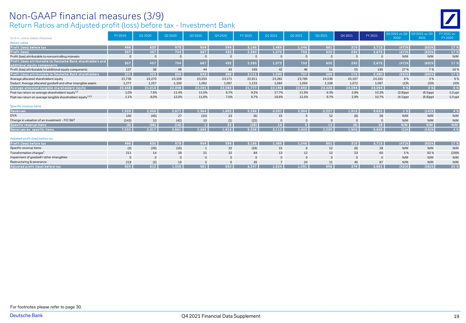# Non-GAAP financial measures (3/9)

Return Ratios and Adjusted profit (loss) before tax - Investment Bank



| (In $\epsilon$ m., unless stated otherwise)                                                  | FY 2019  | Q1 2020      | Q2 2020      | Q3 2020      | Q4 2020      | FY 2020  | Q1 2021     | Q2 2021  | Q3 2021  | Q4 2021     | FY 2021  | 2020        | 24 2021 vs. Q4 204 2021 vs. Q3<br>2021 | Y 2021 vs.<br>FY 2020 |
|----------------------------------------------------------------------------------------------|----------|--------------|--------------|--------------|--------------|----------|-------------|----------|----------|-------------|----------|-------------|----------------------------------------|-----------------------|
| <b>Return ratios</b>                                                                         |          |              |              |              |              |          |             |          |          |             |          |             |                                        |                       |
| Profit (loss) before tax                                                                     | 496      | 635          | 978          | 954          | 599          | 3,166    | 1,489       | 1,046    | 861      | 319         | 3,715    | (47)%       | (63)%                                  | 17 %                  |
| <b>Profit (loss)</b>                                                                         | 357      | 457          | 704          | 687          | 432          | 2,280    | 1,072       | 753      | 620      | 230         | 2,675    | (47)%       | (63)%                                  | 17 %                  |
| Profit (loss) attributable to noncontrolling interests                                       |          | $\Omega$     | $\mathbf{0}$ |              | $\Omega$     | $\Omega$ |             | $\Omega$ |          | $\mathbf 0$ | - 0      | N/M         | N/M                                    | N/M                   |
| Profit (loss) attributable to Deutsche Bank shareholders and<br>additional equity components | 357      | 457          | 704          | 687          | 432          | 2,280    | 1,072       | 753      | 620      | 230         | 2,675    | (47)%       | $(63)$ %                               | 17 %                  |
| Profit (loss) attributable to additional equity components                                   | 137      | 36           | 46           | 44           | 43           | 169      | 42          | 46       | 51       | 55          | 195      | 27%         | 7%                                     | 16%                   |
| Profit (loss) attributable to Deutsche Bank shareholders                                     | 221      | 422          | 658          | 643          | 388          | 2,111    | 1,030       | 707      | 569      | 175         | 2,480    | (55)%       | (69)%                                  | 17 %                  |
| Average allocated shareholders' equity                                                       | 21,736   | 22,270       | 23,108       | 23,293       | 23,171       | 22,911   | 23,282      | 23,786   | 24,536   | 25,167      | 24.181   | 9%          | 3%                                     | 6 %                   |
| Deduct: Average allocated goodwill and other intangible assets                               | 1,277    | 1,257        | 1,100        | 1,062        | 1,087        | 1,133    | 1,084       | 1,094    | 1,108    | 1,072       | 1,087    | (1)%        | (3)%                                   | (4)%                  |
| Average allocated tangible shareholders' equity                                              | 20,458   | 21,013       | 22,008       | 22,231       | 22,083       | 21,777   | 22,198      | 22,692   | 23,428   | 24.094      | 23,094   | 9%          | 3 %                                    | 6 %                   |
| Post-tax return on average shareholders' equity <sup>1,3</sup>                               | 1.0%     | 7.6%         | 11.4%        | 11.0%        | 6.7%         | 9.2%     | 17.7%       | 11.9%    | 9.3%     | 2.8%        | 10.3%    | $(3.9)$ ppt | $(6.5)$ ppt                            | $1.0$ ppt             |
| Post-tax return on average tangible shareholders' equity <sup>1,2,3</sup>                    | 1.1%     | 8.0%         | 12.0%        | 11.6%        | 7.0%         | 9.7%     | 18.6%       | 12.5%    | 9.7%     | 2.9%        | 10.7%    | $(4.1)$ ppt | $(6.8)$ ppt                            | $1.0$ ppt             |
| Specific revenue items                                                                       |          |              |              |              |              |          |             |          |          |             |          |             |                                        |                       |
| <b>Revenues</b>                                                                              | 7,023    | 2,353        | 2,677        | 2,364        | 1,892        | 9,286    | 3,097       | 2,394    | 2,227    | 1,913       | 9,631    | 1%          | (14)%                                  | 4 %                   |
| <b>DVA</b>                                                                                   | 140      | (46)         | 27           | (10)         | 23           | (6)      | 15          | 9        | 12       | (8)         | 28       | N/M         | N/M                                    | N/M                   |
| Change in valuation of an investment - FIC S&T                                               | (143)    | 10           | (42)         | 10           | (1)          | (22)     | $\mathbf 0$ | $\Omega$ | $\Omega$ | $\mathbf 0$ | $\Omega$ | N/M         | N/M                                    | N/M                   |
| Specific revenue items                                                                       | (3)      | (36)         | (16)         | $\mathbf{1}$ | 22           | (28)     | 15          | 9        | 12       | (8)         | 28       | N/M         | N/M                                    | N/M                   |
| Revenues ex. specific items                                                                  | 7,020    | 2,317        | 2,661        | 2,365        | 1,915        | 9,258    | 3,112       | 2,403    | 2,239    | 1,905       | 9,659    | (1)%        | $(15)$ %                               | 4 %                   |
| Adjusted profit (loss) before tax                                                            |          |              |              |              |              |          |             |          |          |             |          |             |                                        |                       |
| Profit (loss) before tax                                                                     | 496      | 635          | 978          | 954          | 599          | 3.166    | 1.489       | 1.046    | 861      | 319         | 3.715    | (47)%       | (63)%                                  | 17 %                  |
| Specific revenue items                                                                       | (3)      | (36)         | (16)         | $\mathbf{1}$ | 22           | (28)     | 15          | 9        | 12       | (8)         | 28       | N/M         | N/M                                    | N/M                   |
| Transformation charges <sup>1</sup>                                                          | 211      | 14           | 28           | 21           | 22           | 84       | 13          | 12       | 12       | 23          | 60       | 5%          | 92%                                    | (29)%                 |
| Impairment of goodwill / other intangibles                                                   | $\Omega$ | $\mathbf{0}$ | $\mathbf{0}$ | $\mathbf{0}$ | $\mathbf{0}$ | $\Omega$ | $\Omega$    | $\Omega$ | $\Omega$ | $\Omega$    | $\Omega$ | N/M         | N/M                                    | N/M                   |
| Restructuring & severance                                                                    | 218      | (2)          | 16           | 5            | -6           | 26       |             | 24       | 11       | 46          | 87       | N/M         | N/M                                    | N/M                   |
| Adjusted profit (loss) before tax                                                            | 924      | 612          | 1,006        | 981          | 650          | 3,247    | 1,524       | 1,091    | 896      | 379         | 3,891    | (42)%       | (58)%                                  | 20 %                  |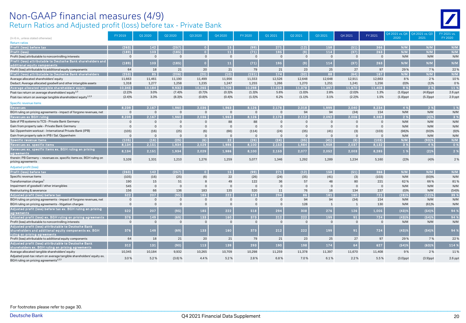#### Return Ratios and Adjusted profit (loss) before tax - Private Bank Non-GAAP financial measures (4/9)



|                                                                                                                                               | FY 2019      | Q1 2020        | Q2 2020          | Q3 2020        | Q4 2020         | FY 2020              | Q1 2021              | Q2 2021        | Q3 2021        | Q4 2021      | FY 2021        | Q4 2021 vs. Q4 | Q4 2021 vs. Q3 | FY 2021 vs.   |
|-----------------------------------------------------------------------------------------------------------------------------------------------|--------------|----------------|------------------|----------------|-----------------|----------------------|----------------------|----------------|----------------|--------------|----------------|----------------|----------------|---------------|
| (In € m., unless stated otherwise)                                                                                                            |              |                |                  |                |                 |                      |                      |                |                |              |                | 2020           | 2021           | FY 2020       |
| <b>Return ratios</b>                                                                                                                          |              |                |                  |                |                 |                      |                      |                |                |              |                |                |                |               |
| Profit (loss) before tax                                                                                                                      | (263)        | 142            | (257)            | $\bullet$      | 15              | (99)                 | 271                  | (12)           | 158            | (51)         | 366            | N/M            | N/M            | N/M           |
| <b>Profit (loss</b>                                                                                                                           | (189)        | 103            | (185)            | $\overline{0}$ | 11              | (71)                 | 195                  | (9)            | 114            | (37)         | 263            | N/M            | N/M            | N/M           |
| Profit (loss) attributable to noncontrolling interests                                                                                        | $\Omega$     | $\Omega$       | $\Omega$         | $\Omega$       | $\overline{0}$  | $\mathbf{0}$         | $\overline{0}$       | $\mathbf{0}$   | $\mathbf{0}$   | $\mathsf 0$  | $\overline{0}$ | N/M            | N/M            | N/M           |
| Profit (loss) attributable to Deutsche Bank shareholders and<br>additional equity components                                                  | (189)        | 103            | (185)            | $\overline{0}$ | 11              | (71)                 | 195                  | (9)            | 114            | (37)         | 263            | N/M            | N/M            | N/M           |
| Profit (loss) attributable to additional equity components                                                                                    | 64           | 18             | 21               | 20             | 21              | 79                   | 21                   | 23             | 25             | 27           | 97             | 29%            | 7 %            | 22%           |
| Profit (loss) attributable to Deutsche Bank shareholders                                                                                      | (253)        | 85             | (206)            | (20)           | (10)            | (151)                | 174                  | (32)           | 88             | (64)         | 167            | N/M            | N/M            | N/M           |
| Average allocated shareholders' equity                                                                                                        | 11,663       | 11,461         | 11,190           | 11,499         | 11,956          | 11,553               | 12,526               | 12,648         | 12,648         | 12,911       | 12,663         | 8%             | 2%             | 10%           |
| Deduct: Average allocated goodwill and other intangible assets                                                                                | 1,318        | 1,277          | 1,258            | 1,235          | 1,247           | 1,255                | 1,266                | 1,270          | 1,251          | 1,241        | 1,256          | (0)%           | (1)%           | 0%            |
| Average allocated tangible shareholders' equity                                                                                               | 10.345       | 10,184         | 9.932            | 10,265         | 10,709          | 10,298               | 11,259               | 11,378         | 11.397         | 11.670       | 11.408         | 9 %            | 2 %            | 11 %          |
| Post-tax return on average shareholders' equity <sup>1,3</sup>                                                                                | (2.2)%       | 3.0%           | (7.4)%           | (0.7)%         | (0.3)%          | (1.3)%               | 5.6%                 | (1.0)%         | 2.8%           | $(2.0)\%$    | 1.3%           | $(1.6)$ ppt    | $(4.8)$ ppt    | $2.6$ ppt     |
| Post-tax return on average tangible shareholders' equity <sup>1,2,3</sup>                                                                     | (2.4)%       | 3.3%           | (8.3)%           | (0.8)%         | (0.4)%          | (1.5)%               | 6.2%                 | (1.1)%         | 3.1%           | (2.2)%       | 1.5%           | $(1.8)$ ppt    | $(5.3)$ ppt    | $2.9$ ppt     |
| Specific revenue items                                                                                                                        |              |                |                  |                |                 |                      |                      |                |                |              |                |                |                |               |
| <b>Revenues</b>                                                                                                                               | 8.239        | 2.167          | 1.960            | 2.036          | 1.963           | 8.126                | 2.178                | 2.018          | 1.999          | 2.040        | 8,234          | 4 %            | 2 %            | 1%            |
| BGH ruling on pricing agreements - impact of forgone revenues, net                                                                            | $\Omega$     | $\Omega$       | $\mathbf 0$      | $\Omega$       | $\Omega$        | $\Omega$             | $\Omega$             | 94             | 94             | (34)         | 154            | N/M            | N/M            | N/M           |
| Revenues ex BGH ruling                                                                                                                        | 8.239        | 2,167          | 1,960            | 2,036          | 1,963           | 8,126                | 2,178                | 2.112          | 2.092          | 2.006        | 8.388          | 2 %            | (4)%           | 3%            |
| Sale of PB systems to TCS - Private Bank Germany                                                                                              | $\Omega$     | $\Omega$       | $\Omega$         | $\Omega$       | 88              | 88                   | $\Omega$             | $\Omega$       | $\Omega$       | $\Omega$     | $\Omega$       | N/M            | N/M            | N/M           |
| Gain from property sale - Private Bank Germany                                                                                                | $\Omega$     | $\mathbf{0}$   | $\overline{0}$   | $\Omega$       | $\Omega$        | $\Omega$             | $\Omega$             | $\overline{0}$ | $\Omega$       | $\Omega$     | $\Omega$       | N/M            | N/M            | N/M           |
| Sal. Oppenheim workout - International Private Bank (IPB)                                                                                     | (105)        | (16)           | (25)             | (6)            | (66)            | (114)                | (24)                 | (35)           | (41)           | (3)          | (103)          | (96)%          | (93)%          | (9)%          |
| Gain from property sale in IPB / Sal. Oppenheim                                                                                               | $\Omega$     | $\Omega$       | $\mathbf{0}$     | $\mathbf{0}$   | $\mathbf{0}$    | $\Omega$             | $\Omega$             | $\mathbf{0}$   | $\mathbf{0}$   | $\mathbf{0}$ | $\overline{0}$ | N/M            | N/M            | N/M           |
| Specific revenue items                                                                                                                        | (105)        | (16)           | (25)             | (6)            | 22              | (26)                 | (24)                 | (35)           | (41)           | (3)          | (103)          | N/M            | (93)%          | N/M           |
| Revenues ex. specific items                                                                                                                   | 8,134        | 2.151          | 1,934            | 2,029          | 1,986           | 8,100                | 2,153                | 1,984          | 1,958          | 2,037        | 8.132          | 3 %            | 4 %            | 0%            |
| Revenues ex. specific items ex. BGH ruling on pricing<br>agreements                                                                           | 8,134        | 2,151          | 1,934            | 2,029          | 1,986           | 8,100                | 2,153                | 2,077          | 2,052          | 2,003        | 8,285          | 1 %            | (2)%           | 2%            |
| therein: PB Germany - revenues ex. specific items ex. BGH ruling on<br>pricing agreements                                                     | 5.109        | 1,331          | 1.210            | 1.276          | 1,259           | 5,077                | 1,346                | 1,292          | 1,289          | 1,234        | 5,160          | (2)%           | (4)%           | 2%            |
| Adjusted profit (loss)                                                                                                                        |              |                |                  |                |                 |                      |                      |                |                |              |                |                |                |               |
| Profit (loss) before tax                                                                                                                      | (263)        | 142            | (257)            | $\Omega$       | 15 <sub>1</sub> | (99)                 | 271                  | (12)           | 158            | (51)         | 366            | N/M            | N/M            | N/M           |
| Specific revenue items                                                                                                                        |              |                | (25)             | (6)            | 22              | (26)                 |                      |                |                | (3)          | (103)          | N/M            |                | N/M           |
| Transformation charges <sup>1</sup>                                                                                                           | (105)<br>190 | (16)<br>15     | 51               | 8              | 49              | 122                  | (24)<br>36           | (35)<br>57     | (41)<br>48     | 80           | 221            | 62%            | (93)%<br>66%   | 81%           |
| Impairment of goodwill / other intangibles                                                                                                    | 545          | $\overline{0}$ | $\Omega$         | $\Omega$       | $\Omega$        | $\Omega$             | $\Omega$             | $\Omega$       | $\Omega$       | $\Omega$     | $\Omega$       |                |                | N/M           |
|                                                                                                                                               |              |                |                  |                |                 |                      |                      |                |                |              |                | N/M            | N/M            |               |
| Restructuring & severance                                                                                                                     | 156<br>522   | 66<br>207      | 136              | 183<br>185     | 135<br>222      | 520<br>518           | 11<br>294            | 76<br>86       | 16<br>181      | 134<br>160   | 237<br>721     | (0)%           | N/M<br>(12)%   | (54)%<br>39 % |
| Adjusted profit (loss) before tax                                                                                                             |              |                | (95)<br>$\Omega$ | $\Omega$       |                 |                      |                      | 94             | 94             |              |                | (28)%          |                |               |
| BGH ruling on pricing agreements - impact of forgone revenues, net                                                                            | - 0          | $\Omega$       | $\Omega$         | $\Omega$       | $\Omega$        | $\Omega$<br>$\Omega$ | $\Omega$<br>$\Omega$ |                |                | (34)         | 154            | N/M            | N/M            | N/M           |
| BGH ruling on pricing agreements - litigation charges                                                                                         | $\Omega$     | $\Omega$       |                  |                | $\Omega$        |                      |                      | 128            | $\overline{1}$ | $\mathbf{1}$ | 130            | N/M            | (61)%          | N/M           |
| Adjusted profit (loss) before tax ex. BGH ruling on pricing<br>agreements                                                                     | 522          | 207            | (95)             | 185            | 222             | 518                  | 294                  | 308            | 276            | 126          | 1.005          | (43)%          | (54)%          | 94 %          |
| Adjusted profit (loss) ex. BGH ruling on pricing agreements                                                                                   | 376          | 149            | (69)             | 133            | 160             | 373                  | 212                  | 222            | 199            | 91           | 724            | (43)%          | (54)%          | 94%           |
| Profit (loss) attributable to noncontrolling interests                                                                                        | $\Omega$     | $\Omega$       | $\Omega$         | $\mathbf 0$    | $\overline{0}$  | $\Omega$             | $\Omega$             | $\overline{0}$ | $\mathbf{0}$   | $\mathbf{0}$ | $\overline{0}$ | N/M            | N/M            | N/M           |
| Adiusted profit (loss) attributable to Deutsche Bank<br>shareholders and additional equity components ex. BGH<br>ruling on pricing agreements | 376          | 149            | (69)             | 133            | 160             | 373                  | 212                  | 222            | 199            | 91           | 724            | (43)%          | (54)%          | 94 %          |
| Profit (loss) attributable to additional equity components                                                                                    | 64           | 18             | 21               | 20             | 21              | 79                   | 21                   | 23             | 25             | 27           | 97             | 29%            | 7%             | 22%           |
| Adjusted profit (loss) attributable to Deutsche Bank<br>shareholders ex. BGH ruling on pricing agreements                                     | 312          | 131            | (90)             | 113            | 139             | 293                  | 190                  | 198            | 174            | 64           | 627            | (54)%          | (63)%          | 114 %         |
| Average allocated tangible shareholders' equity                                                                                               | 10,345       | 10,184         | 9,932            | 10,265         | 10,709          | 10,298               | 11,259               | 11,378         | 11,397         | 11,670       | 11,408         | 9%             | 2%             | 11%           |
| Adjusted post-tax return on average tangible shareholders' equity ex.<br>BGH ruling on pricing agreements <sup>1,2,3</sup>                    | 3.0%         | 5.2%           | $(3.6)$ %        | 4.4%           | 5.2%            | 2.8%                 | 6.8%                 | 7.0%           | 6.1%           | 2.2%         | 5.5%           | $(3.0)$ ppt    | $(3.9)$ ppt    | $2.6$ ppt     |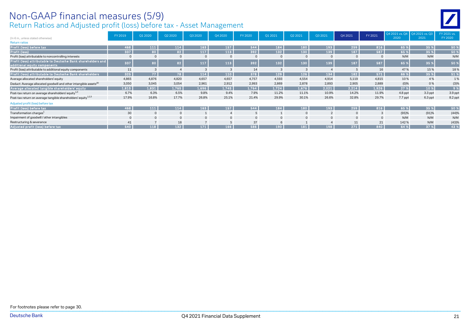# Non-GAAP financial measures (5/9)

Return Ratios and Adjusted profit (loss) before tax - Asset Management

|                                                                                              | FY 2019 | Q1 2020        | Q2 2020      | Q3 2020        | 04 20 20             | FY 2020 | Q1 2021 | Q2 2021     | Q3 2021       | Q4 2021     | FY 2021        | 2020    | Q4 2021 vs. Q4 Q4 2021 vs. Q3<br>2021 | FY 2021 vs.<br>FY 2020 |
|----------------------------------------------------------------------------------------------|---------|----------------|--------------|----------------|----------------------|---------|---------|-------------|---------------|-------------|----------------|---------|---------------------------------------|------------------------|
| (In $\epsilon$ m., unless stated otherwise)                                                  |         |                |              |                |                      |         |         |             |               |             |                |         |                                       |                        |
| <b>Return ratios</b>                                                                         |         |                |              |                |                      |         |         |             |               |             |                |         |                                       |                        |
| Profit (loss) before tax,                                                                    | 468     | 111            | 114          | 163            | 157                  | 544     | 184     | 180         | 193           | 259         | 816            | 65 %    | 35 %                                  | 50 %                   |
| Profit (loss)                                                                                | 337     | 80             | 82           | 117            | 113                  | 392     | 132     | 130         | 139           | 187         | 587            | 65 %    | 35 %                                  | 50 %                   |
| Profit (loss) attributable to noncontrolling interests                                       |         |                | $\mathbf{0}$ | $\mathbf 0$    |                      |         |         | $\mathbf 0$ |               | $\mathbf 0$ | $\overline{0}$ | N/M     | N/M                                   | N/M                    |
| Profit (loss) attributable to Deutsche Bank shareholders and<br>additional equity components | 337     |                | 82           | 117            | 113                  | 392     | 132     | 130         | 139           | 187         | 587            | 65 %    | 35 %                                  | 50 %                   |
| Profit (loss) attributable to additional equity components                                   | 11      | $\mathcal{E}$  |              | 3              | $\cdot$ <sub>3</sub> | 14      |         |             |               |             | 16             | 47%     | 15%                                   | 18%                    |
| Profit (loss) attributable to Deutsche Bank shareholders                                     | 325     | 77             | 78           | 114            | 110                  | 378     | 129     | 126         | 134           | 182         | 571            | 66 %    | 35 %                                  | 51 %                   |
| Average allocated shareholders' equity                                                       | 4.865   | 4,876          | 4,820        | 4,657          | 4,657                | 4.757   | 4,593   | 4,554       | 4.914         | 5.119       | 4.815          | 10%     | 4 %                                   | 1%                     |
| Deduct: Average allocated goodwill and other intangible assets <sup>20</sup>                 | 3,050   | 3,045          | 3,054        | 2,961          | 2,912                | 2,993   | 2,869   | 2,878       | 2,893         | 2,905       | 2,889          | (0)%    | 0%                                    | (3)%                   |
| Average allocated tangible shareholders' equity                                              | 1,815   | 1,831          | 1,765        | 1,696          | 1,745                | 1,764   | 1,724   | 1,676       | 2,021         | 2,214       | 1,926          | 27 %    | 10 %                                  | 9%                     |
| Post-tax return on average shareholders' equity <sup>1,3</sup>                               | 6.7%    | 6.3%           | 6.5%         | 9.8%           | 9.4%                 | 7.9%    | 11.2%   | 11.1%       | 10.9%         | 14.2%       | 11.9%          | 4.8 ppt | 3.3 ppt                               | 3.9 ppt                |
| Post-tax return on average tangible shareholders' equity <sup>1,2,3</sup>                    | 17.9%   | 16.8%          | 17.7%        | 26.8%          | 25.1%                | 21.4%   | 29.9%   | 30.1%       | 26.6%         | 32.8%       | 29.7%          | 7.7 ppt | 6.3 ppt                               | 8.2 ppt                |
| Adjusted profit (loss) before tax                                                            |         |                |              |                |                      |         |         |             |               |             |                |         |                                       |                        |
| Profit (loss) before tax                                                                     | 468     | 111            | 114          | 163            | 157                  | 544     | 184     | 180         | 193           | 259         | 816            | 65 %    | 35 %                                  | 50 %                   |
| Transformation charges <sup>1</sup>                                                          | 30      |                | $\mathbf{0}$ |                |                      |         |         | $\Omega$    | $\mathcal{P}$ | $\Omega$    | $\mathcal{B}$  | (95)%   | (91)%                                 | (44)%                  |
| Impairment of goodwill / other intangibles                                                   |         | $\overline{0}$ | $\mathbf 0$  | $\mathbf{0}$   | $\mathbf{0}$         |         |         | $\Omega$    | $\mathbf{0}$  | $\mathbf 0$ | $\Omega$       | N/M     | N/M                                   | N/M                    |
| Restructuring & severance                                                                    | 41      | $\overline{7}$ | 18           | $\overline{ }$ |                      | 37      |         |             |               | 11          | 21             | 142%    | N/M                                   | (43)%                  |
| Adjusted profit (loss) before tax                                                            | 540     | 118            | 132          | $171$          | 166                  | 586     | 190     | 181         | 198           | 271         | 840            | 64 %    | 37 %                                  | 43 %                   |

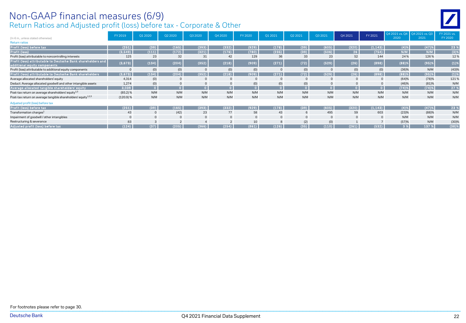#### Return Ratios and Adjusted profit (loss) before tax - Corporate & Other Non-GAAP financial measures (6/9)

| (In € m., unless stated otherwise)                                                           | FY 2019   | Q1 2020        | Q2 2020        | Q3 2020        | 04 20 20     | FY 2020  | Q1 2021  | Q2 2021      | Q3 2021        | Q4 2021 | FY 2021     | 2020     | Q4 2021 vs. Q4 Q4 2021 vs. Q3<br>2021 | FY 2021 vs.<br>FY 2020 |
|----------------------------------------------------------------------------------------------|-----------|----------------|----------------|----------------|--------------|----------|----------|--------------|----------------|---------|-------------|----------|---------------------------------------|------------------------|
| <b>Return ratios</b>                                                                         |           |                |                |                |              |          |          |              |                |         |             |          |                                       |                        |
| Profit (loss) before tax                                                                     | (251)     | (39)           | (165)          | (393)          | (332)        | (929)    | (178)    | (39)         | (605)          | (320)   | (1, 143)    | (4)%     | (47)%                                 | 23 %                   |
| Profit (loss)                                                                                | (3,549)   | (111)          | (172)          | (321)          | (176)        | (780)    | (235)    | (39)         | (506)          | 26      | (754)       | N/M      | N/M                                   | (3)%                   |
| Profit (loss) attributable to noncontrolling interests                                       | 125       | 23             | 32             | 31             | 42           | 129      | 36       | 33           | 23             | 52      | 144         | 24 %     | 126%                                  | 12%                    |
| Profit (loss) attributable to Deutsche Bank shareholders and<br>additional equity components | (3,673)   | (134)          | (204)          | (352)          | (218)        | (909)    | (271)    | (72)         | (529)          | (26)    | (898)       | $(88)$ % | $(95)$ %                              | $(1)$ %                |
| Profit (loss) attributable to additional equity components                                   |           | (0)            | (0)            | $\mathbf 0$    | (0)          | (0)      | 0        | (0)          |                | (0)     | (0)         | (36)%    | N/M                                   | (43)%                  |
| Profit (loss) attributable to Deutsche Bank shareholders                                     | (3,673)   | (134)          | (204)          | (352)          | (218)        | (909)    | (271)    | (72)         | (529)          | (26)    | (898)       | (88)%    | (95)%                                 | (1)%                   |
| Average allocated shareholders' equity                                                       | 4.314     | (0)            | $\mathbb O$    | $\mathbf{0}$   | $\mathbf{0}$ | $\Omega$ | $\Omega$ |              | $\Omega$       |         | $\mathbf 0$ | (64)%    | (78)%                                 | 121%                   |
| Deduct: Average allocated goodwill and other intangible assets                               | 1,274     | (0)            | $\mathbf{0}$   | $\mathbf{0}$   | $\mathbf{0}$ | (0)      | (0)      | (0)          | $\Omega$       |         |             | (46)%    | (81)%                                 | N/M                    |
| Average allocated tangible shareholders' equity                                              | 3,039     | $\overline{0}$ | $\bullet$      | $\overline{0}$ | $\bullet$    |          |          | $\mathbf{O}$ | $\overline{0}$ |         | $\Omega$    | (74)%    | $(74)$ %                              | 27 %                   |
| Post-tax return on average shareholders' equity <sup>1,3</sup>                               | (85.2) %  | N/M            | N/M            | N/M            | N/M          | N/M      | N/M      | N/M          | N/M            | N/M     | N/M         | N/M      | N/M                                   | N/M                    |
| Post-tax return on average tangible shareholders' equity <sup>1,2,3</sup>                    | (120.9) % | N/M            | N/M            | N/M            | N/M          | N/M      | N/M      | N/M          | N/M            | N/M     | N/M         | N/M      | N/M                                   | N/M                    |
| Adjusted profit (loss) before tax                                                            |           |                |                |                |              |          |          |              |                |         |             |          |                                       |                        |
| Profit (loss) before tax                                                                     | (251)     | (39)           | (165)          | (393)          | (332)        | (929)    | (178)    | (39)         | (605)          | (320)   | (1, 143)    | (4)%     | (47)%                                 | 23%                    |
| Transformation charges <sup>1</sup>                                                          | 43        |                | (42)           | 23             | 77           | 58       | 43       |              | 495            | 59      | 603         | (23)%    | (88)%                                 | N/M                    |
| Impairment of goodwill / other intangibles                                                   |           |                | $\mathbf{0}$   | $\mathbf 0$    | $\mathbf{0}$ | $\Omega$ | $\Omega$ |              | $\Omega$       |         |             | N/M      | N/M                                   | N/M                    |
| Restructuring & severance                                                                    | 83        | 3              | $\mathfrak{p}$ | $\overline{4}$ | 2            | 10       |          | (2)          | (0)            |         |             | (57)%    | N/M                                   | (30)%                  |
| Adjusted profit (loss) before tax                                                            | (124)     | (37)           | (205)          | (366)          | (254)        | (861)    | (126)    | (35)         | (110)          | (261)   | (532)       | 3 %      | 137 %                                 | $(38)$ %               |

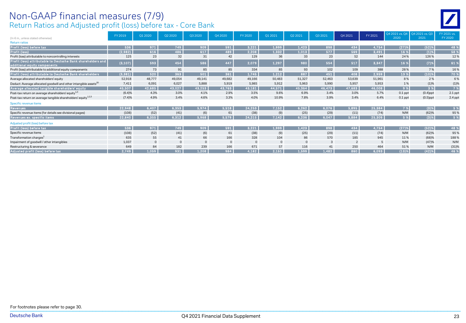#### Return Ratios and Adjusted profit (loss) before tax - Core Bank Non-GAAP financial measures (7/9)

|--|

| (In $\epsilon$ m., unless stated otherwise)                                                  | FY 2019  | Q1 2020     | Q2 2020     | 03 20 20     | O4 2020        | FY 2020      | Q1 2021      | Q2 2021     | Q3 2021 | Q4 2021        | FY 2021 | Q4 2021 vs. Q4<br>2020 | 04 2021 vs. 03<br>2021 | FY 2021 vs.<br>FY 2020 |
|----------------------------------------------------------------------------------------------|----------|-------------|-------------|--------------|----------------|--------------|--------------|-------------|---------|----------------|---------|------------------------|------------------------|------------------------|
| <b>Return ratios</b>                                                                         |          |             |             |              |                |              |              |             |         |                |         |                        |                        |                        |
| Profit (loss) before tax                                                                     | 536      | 971         | 749         | 909          | 591            | 3,221        | 1,999        | 1,423       | 898     | 434            | 4,754   | (27)%                  | (52)%                  | 48 %                   |
| Profit (loss)                                                                                | (2,982)  | 616         | 486         | 617          | 489            | 2,208        | 1,332        | 1,013       | 577     | 569            | 3,491   | 16 %                   | (1)%                   | 58 %                   |
| Profit (loss) attributable to noncontrolling interests                                       | 125      | 23          | 32          | 31           | 42             | 129          | 36           | 33          | 23      | 52             | 144     | 24%                    | 126%                   | 12%                    |
| Profit (loss) attributable to Deutsche Bank shareholders and<br>additional equity components | (3, 107) | 593         | 454         | 586          | 447            | 2,079        | 1,297        | 980         | 554     | 517            | 3,347   | 16 %                   | $(7)$ %                | 61 %                   |
| Profit (loss) attributable to additional equity components                                   | 274      | 73          | 91          | 85           | 85             | 334          | 85           | 93          | 102     | 109            | 388     | 28%                    | 7%                     | 16%                    |
| Profit (loss) attributable to Deutsche Bank shareholders                                     | (3, 381) | 520         | 363         | 501          | 361            | 1,745        | 1,212        | 887         | 451     | 408            | 2,959   | 13 %                   | (10)%                  | 70 %                   |
| Average allocated shareholders' equity                                                       | 52,918   | 48,777      | 49,054      | 49,141       | 49,682         | 49,166       | 50,483       | 51,327      | 52,463  | 53,639         | 51,961  | 8%                     | 2 %                    | 6 %                    |
| Deduct: Average allocated goodwill and other intangible assets <sup>20</sup>                 | 7,411    | 6,091       | 6,027       | 5,888        | 5,919          | 5,985        | 5,912        | 5,963       | 5,990   | 5,957          | 5,953   | 1%                     | (1)%                   | (1)%                   |
| Average allocated tangible shareholders' equity                                              | 45,507   | 42,685      | 43,027      | 43,253       | 43,763         | 43,181       | 44,571       | 45,364      | 46,473  | 47,683         | 46,008  | 9%                     | 3 %                    | 7%                     |
| Post-tax return on average shareholders' equity <sup>1,3</sup>                               | (6.4)%   | 4.3%        | 3.0%        | 4.1%         | 2.9%           | 3.5%         | 9.6%         | 6.9%        | 3.4%    | 3.0%           | 5.7%    | $0.1$ ppt              | $(0.4)$ ppt            | $2.1$ ppt              |
| Post-tax return on average tangible shareholders' equity <sup>1,2,3</sup>                    | (7.4)%   | 4.9%        | 3.4%        | 4.6%         | 3.3%           | 4.0%         | 10.9%        | 7.8%        | 3.9%    | 3.4%           | 6.4%    | $0.1$ ppt              | $(0.5)$ ppt            | 2.4 ppt                |
| Specific revenue items                                                                       |          |             |             |              |                |              |              |             |         |                |         |                        |                        |                        |
| Revenues                                                                                     | 22.948   | 6,407       | 6,353       | 5,974        | 5,518          | 24,253       | 7,152        | 6,262       | 6,076   | 5,895          | 25,384  | 7 %                    | (3)%                   | 5 %                    |
| Specific revenue items (for details see divisional pages)                                    | (108)    | (52)        | (41)        | (6)          | 61             | (38)         | (9)          | (25)        | (29)    | (11)           | (74)    | N/M                    | (62)%                  | 95%                    |
| Revenues ex. specific items                                                                  | 22,840   | 6,355       | 6,312       | 5,968        | 5,579          | 24,215       | 7,142        | 6,236       | 6,047   | 5,884          | 25,309  | 5 %                    | (3)%                   | 5 %                    |
| Adjusted profit (loss) before tax                                                            |          |             |             |              |                |              |              |             |         |                |         |                        |                        |                        |
| Profit (loss) before tax                                                                     | 536      | 971         | 749         | 909          | 591            | 3,221        | 1,999        | 1,423       | 898     | 434            | 4,754   | (27)%                  | (52)%                  | 48 %                   |
| Specific revenue items                                                                       | (108)    | (52)        | (41)        | (6)          | 61             | (38)         | (9)          | (25)        | (29)    | (11)           | (74)    | N/M                    | (62)%                  | 95%                    |
| Transformation charges <sup>1</sup>                                                          | 635      | 55          | 41          | 66           | 166            | 328          | 104          | 86          | 570     | 185            | 945     | 11%                    | (68)%                  | 188%                   |
| Impairment of goodwill / other intangibles                                                   | 1,037    | $\mathbf 0$ | $\mathbb O$ | $\mathbf{0}$ | $\overline{0}$ | $\mathbf{0}$ | $\mathbf{0}$ | $\mathbf 0$ | 3       | $\overline{2}$ | - 5     | N/M                    | (47)%                  | N/M                    |
| Restructuring & severance                                                                    | 649      | 84          | 182         | 239          | 166            | 671          | 57           | 116         | 41      | 250            | 464     | 51%                    | N/M                    | (31)%                  |
| Adjusted profit (loss) before tax                                                            | 2.749    | 1.059       | 931         | 1.208        | 984            | 4.182        | 2,151        | 1,599       | 1,482   | 860            | 6,093   | (13)%                  | (42)%                  | 46 %                   |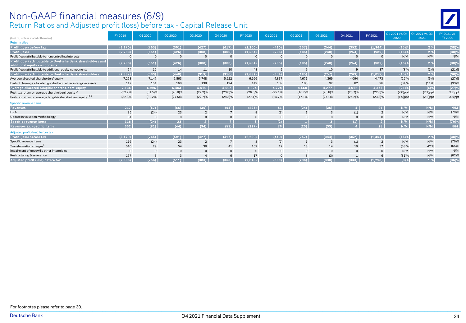# Non-GAAP financial measures (8/9)

Return Ratios and Adjusted profit (loss) before tax - Capital Release Unit

| (In € m., unless stated otherwise)                                                           | FY 2019    | Q1 2020     | Q2 2020         | Q3 2020        | Q4 2020        | FY 2020        | Q1 2021    | Q2 2021     | Q3 2021    | Q4 2021    | FY 2021        | 2020        | Q4 2021 vs. Q4   Q4 2021 vs. Q3<br>2021 | FY 2021 vs.<br>FY 2020 |
|----------------------------------------------------------------------------------------------|------------|-------------|-----------------|----------------|----------------|----------------|------------|-------------|------------|------------|----------------|-------------|-----------------------------------------|------------------------|
| <b>Return ratios</b>                                                                         |            |             |                 |                |                |                |            |             |            |            |                |             |                                         |                        |
| Profit (loss) before tax                                                                     | (3, 170)   | (765)       | (591)           | (427)          | (417)          | (2, 200)       | (410)      | (257)       | (344)      | (352)      | (1, 364)       | (15)%       | 2 %                                     | (38)%                  |
| Profit (loss)                                                                                | (2, 283)   | (551)       | (426)           | (308)          | (300)          | (1,584)        | (295)      | (185)       | (248)      | (254)      | (982)          | (15)%       | 2 %                                     | (38)%                  |
| Profit (loss) attributable to noncontrolling interests                                       |            | $\mathbf 0$ | $\circ$         | $\mathbf 0$    | $\mathbf 0$    |                | 0          | $\mathbf 0$ | 0          |            |                | N/M         | N/M                                     | N/M                    |
| Profit (loss) attributable to Deutsche Bank shareholders and<br>additional equity components | (2, 283)   | (551)       | (426)           | (308)          | (300)          | (1,584)        | (295)      | (185)       | (248)      | (254)      | (982)          | (15)%       | 2 %                                     | $(38)$ %               |
| Profit (loss) attributable to additional equity components                                   | 54         | 12          | 14              | 11             | 10             | 48             | 9          | 9           | 10         | 9          | 37             | (8)%        | (1)%                                    | (21)%                  |
| Profit (loss) attributable to Deutsche Bank shareholders                                     | (2, 337)   | (563)       | (440)           | (319)          | (310)          | (1,632)        | (304)      | (195)       | (257)      | (263)      | (1,019)        | (15)%       | 2 %                                     | $(38)$ %               |
| Average allocated shareholders' equity                                                       | 7,253      | 7.147       | 6,563           | 5,748          | 5,222          | 6,166          | 4,837      | 4.671       | 4,369      | 4.094      | 4,473          | (22)%       | (6)%                                    | (27)%                  |
| Deduct: Average allocated goodwill and other intangible assets                               | 117        | 151         | 160             | 138            | 124            | 142            | 109        | 103         | 92         | 82         | 96             | (34)%       | (11)%                                   | (33)%                  |
| Average allocated tangible shareholders' equity                                              | 7,136      | 6,996       | 6,403           | 5,610          | 5,098          | 6,024          | 4,728      | 4,568       | 4,277      | 4,012      | 4,377          | (21)%       | $(6)$ %                                 | (27)%                  |
| Post-tax return on average shareholders' equity <sup>1,3</sup>                               | $(32.2)\%$ | $(31.5)\%$  | (26.8)%         | $(22.2)\%$     | $(23.8)\%$     | $(26.5)\%$     | $(25.1)\%$ | (16.7)%     | $(23.6)\%$ | (25.7)%    | $(22.8)\%$     | $(2.0)$ ppt | $(2.1)$ ppt                             | 3.7 ppt                |
| Post-tax return on average tangible shareholders' equity <sup>1,2,3</sup>                    | $(32.8)\%$ | $(32.2)\%$  | (27.5)%         | (22.7)%        | $(24.3)\%$     | (27.1)%        | (25.7)%    | $(17.1)\%$  | $(24.1)\%$ | $(26.2)\%$ | $(23.3)\%$     | $(1.9)$ ppt | $(2.2)$ ppt                             | 3.8 ppt                |
| Specific revenue items                                                                       |            |             |                 |                |                |                |            |             |            |            |                |             |                                         |                        |
| <b>Revenues</b>                                                                              | 217        | (57)        | (66)            | (36)           | (65)           | (225)          | 81         | (24)        | (36)       |            | 26             | N/M         | N/M                                     | N/M                    |
| <b>DVA</b>                                                                                   | 35         | (24)        | 23              | $\overline{2}$ | $\overline{7}$ | 8              | (2)        |             | 3          | (1)        | $\overline{2}$ | N/M         | N/M                                     | (79)%                  |
| Update in valuation methodology                                                              | 81         |             | $\overline{0}$  | $\mathbf{0}$   | $\mathbf{0}$   |                |            |             |            |            |                | N/M         | N/M                                     | N/M                    |
| Specific revenue items                                                                       | 116        | (24)        | 23 <sup>°</sup> | $\overline{2}$ |                | -8             | (2)        | 1           |            | (1)        | $\overline{2}$ | N/M         | N/M                                     | $(79)$ %               |
| Revenues ex. specific items                                                                  | 332        | (81)        | (44)            | (34)           | (59)           | (217)          | 79         | (23)        | (33)       |            | 28             | N/M         | N/M                                     | N/M                    |
| Adjusted profit (loss) before tax                                                            |            |             |                 |                |                |                |            |             |            |            |                |             |                                         |                        |
| Profit (loss) before tax                                                                     | (3, 170)   | (765)       | (591)           | (427)          | (417)          | (2, 200)       | (410)      | (257)       | (344)      | (352)      | (1, 364)       | (15)%       | 2 %                                     | (38)%                  |
| Specific revenue items                                                                       | 116        | (24)        | 23              | $\overline{2}$ | $\overline{7}$ | 8              | (2)        |             | 3          | (1)        |                | N/M         | N/M                                     | (79)%                  |
| Transformation charges <sup>1</sup>                                                          | 510        | 29          | 54              | 38             | 41             | 162            | 12         | 13          | 14         | 19         | 57             | (53)%       | 42%                                     | (65)%                  |
| Impairment of goodwill / other intangibles                                                   |            | $\mathbf 0$ | $\overline{0}$  | $\mathbf 0$    | $\mathbf{0}$   | $\overline{0}$ | $\Omega$   | $\Omega$    | $\Omega$   | $\Omega$   | $\Omega$       | N/M         | N/M                                     | N/M                    |
| Restructuring & severance                                                                    | 157        |             | 3               | $\overline{a}$ | 6              | 17             |            |             | (3)        |            |                | (81)%       | N/M                                     | (62)%                  |
| Adjusted profit (loss) before tax                                                            | (2, 388)   | (756)       | (511)           | (383)          | (363)          | (2,013)        | (399)      | (236)       | (330)      | (333)      | (1, 298)       | (8)%        | 1%                                      | $(36)$ %               |

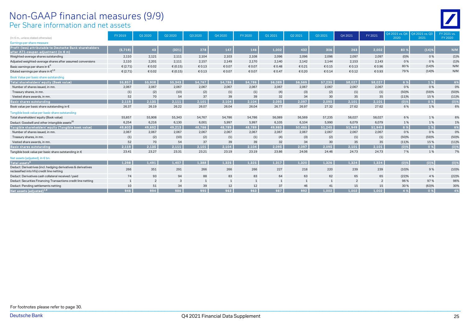#### Per Share information and net assets Non-GAAP financial measures (9/9)

| (In € m., unless stated otherwise)                                                                          | FY 2019    | Q1 2020 | Q2 2020      | Q3 2020 | Q4 2020      | FY 2020        | Q1 2021      | Q2 2021      | Q3 2021 | Q4 2021        | FY 2021        | 2020    | Q4 2021 vs. Q4   Q4 2021 vs. Q3<br>2021 | FY 2021 vs.<br>FY 2020 |
|-------------------------------------------------------------------------------------------------------------|------------|---------|--------------|---------|--------------|----------------|--------------|--------------|---------|----------------|----------------|---------|-----------------------------------------|------------------------|
| Earnings per share measure                                                                                  |            |         |              |         |              |                |              |              |         |                |                |         |                                         |                        |
| Profit (loss) attributable to Deutsche Bank shareholders                                                    |            |         |              |         |              |                |              |              |         |                |                |         |                                         |                        |
| after AT1-coupon adjustment (in € m)                                                                        | (5,719)    | 43      | (321)        | 278     | 147          | 146            | 1,002        | 432          | 306     | 263            | 2,002          | 80 %    | (14)%                                   | N/M                    |
| Weighted-average shares outstanding                                                                         | 2,110      | 2,121   | 2,111        | 2,104   | 2,103        | 2,108          | 2,096        | 2,096        | 2,096   | 2,097          | 2,097          | $(0)\%$ | 0%                                      | (1)%                   |
| Adjusted weighted-average shares after assumed conversions                                                  | 2,110      | 2,201   | 2,111        | 2,157   | 2,149        | 2,170          | 2,140        | 2,142        | 2,144   | 2,153          | 2.143          | 0%      | 0%                                      | (1)%                   |
| Basic earnings per share in $\boldsymbol{\epsilon}^*$                                                       | € $(2.71)$ | € 0.02  | € (0.15)     | €0.13   | € 0.07       | € 0.07         | € 0.48       | € 0.21       | € 0.15  | € 0.13         | € 0.96         | 80%     | (14)%                                   | N/M                    |
| Diluted earnings per share in $\in ^{1,9}$                                                                  | € $(2.71)$ | € 0.02  | € $(0.15)$   | €0.13   | € 0.07       | € 0.07         | € 0.47       | € 0.20       | € 0.14  | € 0.12         | € 0.93         | 79%     | (14)%                                   | N/M                    |
| Book Value per basic share outstanding                                                                      |            |         |              |         |              |                |              |              |         |                |                |         |                                         |                        |
| Total shareholders' equity (Book value)                                                                     | 55.857     | 55,908  | 55,343       | 54.767  | 54.786       | 54,786         | 56.089       | 56,569       | 57.235  | 58.027         | 58.027         | 6 %     | 1%                                      | 6%                     |
| Number of shares issued, in mn.                                                                             | 2,067      | 2,067   | 2,067        | 2,067   | 2,067        | 2,067          | 2,067        | 2,067        | 2,067   | 2,067          | 2,067          | 0%      | 0%                                      | 0%                     |
| Treasury shares, in mn.                                                                                     | (1)        | (2)     | (10)         | (2)     | (1)          | (1)            | (4)          | (3)          | (2)     | (1)            | (1)            | (50)%   | (59)%                                   | (50)%                  |
| Vested share awards, in mn                                                                                  | 52         | 70      | 54           | 37      | 39           | 39             | 32           | 34           | 30      | 35             | 35             | (11)%   | 15%                                     | (11)%                  |
| Basic shares outstanding                                                                                    | 2.119      | 2.135   | 2.111        | 2.101   | 2,104        | 2.104          | 2.095        | 2.097        | 2.095   | 2.101          | 2.101          | (0)%    | 0 %                                     | $(0)$ %                |
| Book value per basic share outstanding in €                                                                 | 26.37      | 26.19   | 26.22        | 26.07   | 26.04        | 26.04          | 26.77        | 26.97        | 27.32   | 27.62          | 27.62          | 6%      | 1%                                      | 6%                     |
| Tangible book value per basic share outstanding                                                             |            |         |              |         |              |                |              |              |         |                |                |         |                                         |                        |
| Total shareholders' equity (Book value)                                                                     | 55,857     | 55,908  | 55,343       | 54.767  | 54,786       | 54,786         | 56,089       | 56,569       | 57,235  | 58,027         | 58.027         | 6%      | 1%                                      | 6%                     |
| Deduct: Goodwill and other intangible assets <sup>20</sup>                                                  | 6,254      | 6,216   | 6,130        | 6,001   | 5,997        | 5,997          | 6,105        | 6,104        | 5,990   | 6,079          | 6,079          | 1%      | 1%                                      | 1%                     |
| Tangible shareholders' equity (Tangible book value)                                                         | 49,603     | 49,692  | 49,213       | 48,766  | 48,789       | 48,789         | 49,985       | 50,465       | 51,245  | 51,949         | 51,949         | 6 %     | 1%                                      | 6%                     |
| Number of shares issued, in mn.                                                                             | 2,067      | 2,067   | 2,067        | 2,067   | 2,067        | 2,067          | 2,067        | 2,067        | 2,067   | 2,067          | 2,067          | 0%      | 0%                                      | 0%                     |
| Treasury shares, in mn.                                                                                     | (1)        | (2)     | (10)         | (2)     | (1)          | (1)            | (4)          | (3)          | (2)     | (1)            | (1)            | (50)%   | (59)%                                   | (50)%                  |
| Vested share awards, in mn                                                                                  | 52         | 70      | 54           | 37      | 39           | 39             | 32           | 34           | 30      | 35             | 35             | (11)%   | 15%                                     | (11)%                  |
| Basic shares outstanding                                                                                    | 2.119      | 2,135   | 2,111        | 2,101   | 2,104        | 2,104          | 2,095        | 2,097        | 2.095   | 2.101          | 2.101          | $(0)$ % | 0%                                      | $(0)$ %                |
| Tangible book value per basic share outstanding in $\epsilon$                                               | 23.41      | 23.27   | 23.31        | 23.21   | 23.19        | 23.19          | 23.86        | 24.06        | 24.46   | 24.73          | 24.73          | 7%      | 1%                                      | 7%                     |
| Net assets (adjusted), in € bn.                                                                             |            |         |              |         |              |                |              |              |         |                |                |         |                                         |                        |
| Total assets <sup>6</sup>                                                                                   | 1.298      | 1,491   | 1,407        | 1,388   | 1,325        | 1,325          | 1,317        | 1,320        | 1,326   | 1.324          | 1,324          | (0)%    | $(0)$ %                                 | $(0)$ %                |
| Deduct: Derivatrives (incl. hedging derivatives & derivatives<br>reclassified into hfs) credit line netting | 266        | 351     | 291          | 266     | 266          | 266            | 227          | 218          | 220     | 239            | 239            | (10)%   | 9%                                      | (10)%                  |
| Deduct: Derivatives cash collateral received / paid                                                         | 74         | 93      | 94           | 88      | 83           | 83             | 64           | 63           | 62      | 65             | 65             | (22)%   | 4 %                                     | (22)%                  |
| Deduct: Securities Financing Transactions credit line netting                                               |            | 2       | $\mathbf{3}$ | 1       | $\mathbf{1}$ | $\overline{1}$ | $\mathbf{1}$ | $\mathbf{1}$ | 1       | $\overline{2}$ | $\overline{2}$ | 96%     | 97%                                     | 96%                    |
| Deduct: Pending settlements netting                                                                         | 10         | 51      | 34           | 39      | 12           | 12             | 37           | 46           | 41      | 15             | 15             | 30%     | (63)%                                   | 30%                    |
| Net assets (adjusted) <sup>1,6</sup>                                                                        | 946        | 994     | 986          | 995     | 963          | 963            | 987          | 992          | 1.002   | 1.002          | 1,002          | 4 %     | 0 %                                     | 4%                     |
|                                                                                                             |            |         |              |         |              |                |              |              |         |                |                |         |                                         |                        |

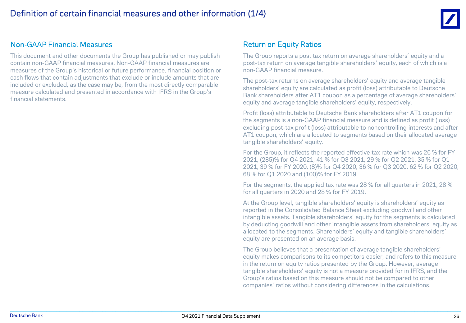

#### Non-GAAP Financial Measures

This document and other documents the Group has published or may publish contain non-GAAP financial measures. Non-GAAP financial measures are measures of the Group's historical or future performance, financial position or cash flows that contain adjustments that exclude or include amounts that are included or excluded, as the case may be, from the most directly comparable measure calculated and presented in accordance with IFRS in the Group's financial statements.

#### Return on Equity Ratios

The Group reports a post tax return on average shareholders' equity and a post-tax return on average tangible shareholders' equity, each of which is a non-GAAP financial measure.

The post-tax returns on average shareholders' equity and average tangible shareholders' equity are calculated as profit (loss) attributable to Deutsche Bank shareholders after AT1 coupon as a percentage of average shareholders' equity and average tangible shareholders' equity, respectively.

Profit (loss) attributable to Deutsche Bank shareholders after AT1 coupon for the segments is a non-GAAP financial measure and is defined as profit (loss) excluding post-tax profit (loss) attributable to noncontrolling interests and after AT1 coupon, which are allocated to segments based on their allocated average tangible shareholders' equity.

For the Group, it reflects the reported effective tax rate which was 26 % for FY 2021, (285)% for Q4 2021, 41 % for Q3 2021, 29 % for Q2 2021, 35 % for Q1 2021, 39 % for FY 2020, (8)% for Q4 2020, 36 % for Q3 2020, 62 % for Q2 2020, 68 % for Q1 2020 and (100)% for FY 2019.

For the segments, the applied tax rate was 28 % for all quarters in 2021, 28 % for all quarters in 2020 and 28 % for FY 2019.

At the Group level, tangible shareholders' equity is shareholders' equity as reported in the Consolidated Balance Sheet excluding goodwill and other intangible assets. Tangible shareholders' equity for the segments is calculated by deducting goodwill and other intangible assets from shareholders' equity as allocated to the segments. Shareholders' equity and tangible shareholders' equity are presented on an average basis.

The Group believes that a presentation of average tangible shareholders' equity makes comparisons to its competitors easier, and refers to this measure in the return on equity ratios presented by the Group. However, average tangible shareholders' equity is not a measure provided for in IFRS, and the Group's ratios based on this measure should not be compared to other companies' ratios without considering differences in the calculations.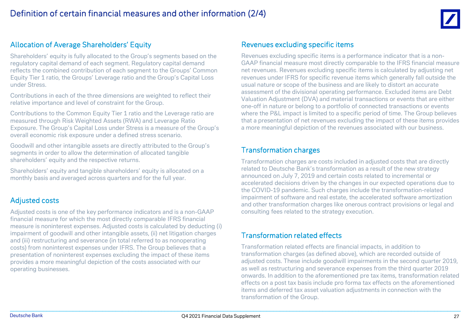

#### Allocation of Average Shareholders' Equity

Shareholders' equity is fully allocated to the Group's segments based on the regulatory capital demand of each segment. Regulatory capital demand reflects the combined contribution of each segment to the Groups' Common Equity Tier 1 ratio, the Groups' Leverage ratio and the Group's Capital Loss under Stress.

Contributions in each of the three dimensions are weighted to reflect their relative importance and level of constraint for the Group.

Contributions to the Common Equity Tier 1 ratio and the Leverage ratio are measured through Risk Weighted Assets (RWA) and Leverage Ratio Exposure. The Group's Capital Loss under Stress is a measure of the Group's overall economic risk exposure under a defined stress scenario.

Goodwill and other intangible assets are directly attributed to the Group's segments in order to allow the determination of allocated tangible shareholders' equity and the respective returns.

Shareholders' equity and tangible shareholders' equity is allocated on a monthly basis and averaged across quarters and for the full year.

#### Adjusted costs

Adjusted costs is one of the key performance indicators and is a non-GAAP financial measure for which the most directly comparable IFRS financial measure is noninterest expenses. Adjusted costs is calculated by deducting (i) impairment of goodwill and other intangible assets, (ii) net litigation charges and (iii) restructuring and severance (in total referred to as nonoperating costs) from noninterest expenses under IFRS. The Group believes that a presentation of noninterest expenses excluding the impact of these items provides a more meaningful depiction of the costs associated with our operating businesses.

#### Revenues excluding specific items

Revenues excluding specific items is a performance indicator that is a non-GAAP financial measure most directly comparable to the IFRS financial measure net revenues. Revenues excluding specific items is calculated by adjusting net revenues under IFRS for specific revenue items which generally fall outside the usual nature or scope of the business and are likely to distort an accurate assessment of the divisional operating performance. Excluded items are Debt Valuation Adjustment (DVA) and material transactions or events that are either one-off in nature or belong to a portfolio of connected transactions or events where the P&L impact is limited to a specific period of time. The Group believes that a presentation of net revenues excluding the impact of these items provides a more meaningful depiction of the revenues associated with our business.

#### Transformation charges

Transformation charges are costs included in adjusted costs that are directly related to Deutsche Bank's transformation as a result of the new strategy announced on July 7, 2019 and certain costs related to incremental or accelerated decisions driven by the changes in our expected operations due to the COVID-19 pandemic. Such charges include the transformation-related impairment of software and real estate, the accelerated software amortization and other transformation charges like onerous contract provisions or legal and consulting fees related to the strategy execution.

#### Transformation related effects

Transformation related effects are financial impacts, in addition to transformation charges (as defined above), which are recorded outside of adjusted costs. These include goodwill impairments in the second quarter 2019, as well as restructuring and severance expenses from the third quarter 2019 onwards. In addition to the aforementioned pre tax items, transformation related effects on a post tax basis include pro forma tax effects on the aforementioned items and deferred tax asset valuation adjustments in connection with the transformation of the Group.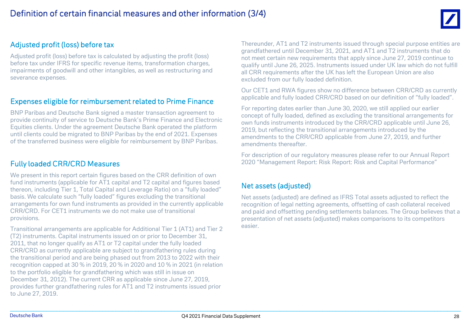

#### Adjusted profit (loss) before tax

Adjusted profit (loss) before tax is calculated by adjusting the profit (loss) before tax under IFRS for specific revenue items, transformation charges, impairments of goodwill and other intangibles, as well as restructuring and severance expenses.

#### Expenses eligible for reimbursement related to Prime Finance

BNP Paribas and Deutsche Bank signed a master transaction agreement to provide continuity of service to Deutsche Bank's Prime Finance and Electronic Equities clients. Under the agreement Deutsche Bank operated the platform until clients could be migrated to BNP Paribas by the end of 2021. Expenses of the transferred business were eligible for reimbursement by BNP Paribas.

#### Fully loaded CRR/CRD Measures

We present in this report certain figures based on the CRR definition of own fund instruments (applicable for AT1 capital and T2 capital and figures based thereon, including Tier 1, Total Capital and Leverage Ratio) on a "fully loaded" basis. We calculate such "fully loaded" figures excluding the transitional arrangements for own fund instruments as provided in the currently applicable CRR/CRD. For CET1 instruments we do not make use of transitional provisions.

Transitional arrangements are applicable for Additional Tier 1 (AT1) and Tier 2 (T2) instruments. Capital instruments issued on or prior to December 31, 2011, that no longer qualify as AT1 or T2 capital under the fully loaded CRR/CRD as currently applicable are subject to grandfathering rules during the transitional period and are being phased out from 2013 to 2022 with their recognition capped at 30 % in 2019, 20 % in 2020 and 10 % in 2021 (in relation to the portfolio eligible for grandfathering which was still in issue on December 31, 2012). The current CRR as applicable since June 27, 2019, provides further grandfathering rules for AT1 and T2 instruments issued prior to June 27, 2019.

Thereunder, AT1 and T2 instruments issued through special purpose entities are grandfathered until December 31, 2021, and AT1 and T2 instruments that do not meet certain new requirements that apply since June 27, 2019 continue to qualify until June 26, 2025. Instruments issued under UK law which do not fulfill all CRR requirements after the UK has left the European Union are also excluded from our fully loaded definition.

Our CET1 and RWA figures show no difference between CRR/CRD as currently applicable and fully loaded CRR/CRD based on our definition of "fully loaded".

For reporting dates earlier than June 30, 2020, we still applied our earlier concept of fully loaded, defined as excluding the transitional arrangements for own funds instruments introduced by the CRR/CRD applicable until June 26, 2019, but reflecting the transitional arrangements introduced by the amendments to the CRR/CRD applicable from June 27, 2019, and further amendments thereafter.

For description of our regulatory measures please refer to our Annual Report 2020 "Management Report: Risk Report: Risk and Capital Performance"

#### Net assets (adjusted)

Net assets (adjusted) are defined as IFRS Total assets adjusted to reflect the recognition of legal netting agreements, offsetting of cash collateral received and paid and offsetting pending settlements balances. The Group believes that a presentation of net assets (adjusted) makes comparisons to its competitors easier.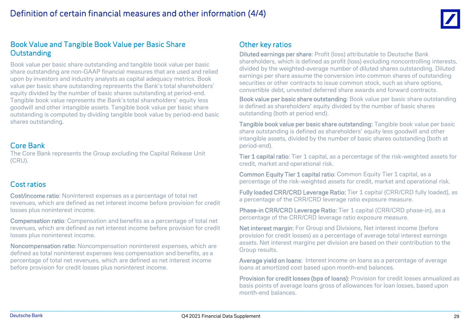

#### Book Value and Tangible Book Value per Basic Share **Outstanding**

Book value per basic share outstanding and tangible book value per basic share outstanding are non-GAAP financial measures that are used and relied upon by investors and industry analysts as capital adequacy metrics. Book value per basic share outstanding represents the Bank's total shareholders' equity divided by the number of basic shares outstanding at period-end. Tangible book value represents the Bank's total shareholders' equity less goodwill and other intangible assets. Tangible book value per basic share outstanding is computed by dividing tangible book value by period-end basic shares outstanding.

#### Core Bank

The Core Bank represents the Group excluding the Capital Release Unit (CRU).

#### Cost ratios

Cost/income ratio: Noninterest expenses as a percentage of total net revenues, which are defined as net interest income before provision for credit losses plus noninterest income.

Compensation ratio: Compensation and benefits as a percentage of total net revenues, which are defined as net interest income before provision for credit losses plus noninterest income.

Noncompensation ratio: Noncompensation noninterest expenses, which are defined as total noninterest expenses less compensation and benefits, as a percentage of total net revenues, which are defined as net interest income before provision for credit losses plus noninterest income.

#### Other key ratios

Diluted earnings per share: Profit (loss) attributable to Deutsche Bank shareholders, which is defined as profit (loss) excluding noncontrolling interests, divided by the weighted-average number of diluted shares outstanding. Diluted earnings per share assume the conversion into common shares of outstanding securities or other contracts to issue common stock, such as share options, convertible debt, unvested deferred share awards and forward contracts.

Book value per basic share outstanding: Book value per basic share outstanding is defined as shareholders' equity divided by the number of basic shares outstanding (both at period end).

Tangible book value per basic share outstanding: Tangible book value per basic share outstanding is defined as shareholders' equity less goodwill and other intangible assets, divided by the number of basic shares outstanding (both at period-end).

Tier 1 capital ratio: Tier 1 capital, as a percentage of the risk-weighted assets for credit, market and operational risk.

**Common Equity Tier 1 capital ratio:** Common Equity Tier 1 capital, as a percentage of the risk-weighted assets for credit, market and operational risk.

Fully loaded CRR/CRD Leverage Ratio: Tier 1 capital (CRR/CRD fully loaded), as a percentage of the CRR/CRD leverage ratio exposure measure.

Phase-in CRR/CRD Leverage Ratio: Tier 1 capital (CRR/CRD phase-in), as a percentage of the CRR/CRD leverage ratio exposure measure.

Net interest margin: For Group and Divisions, Net interest income (before provision for credit losses) as a percentage of average total interest earnings assets. Net interest margins per division are based on their contribution to the Group results.

Average yield on loans: Interest income on loans as a percentage of average loans at amortized cost based upon month-end balances.

Provision for credit losses (bps of loans): Provision for credit losses annualized as basis points of average loans gross of allowances for loan losses, based upon month-end balances.